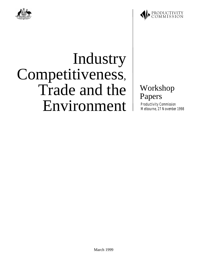



# Industry Competitiveness, Trade and the Environment

## Workshop Papers

*Productivity Commission Melbourne, 27 November 1998*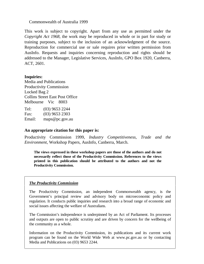#### Commonwealth of Australia 1999

This work is subject to copyright. Apart from any use as permitted under the *Copyright Act 1968*, the work may be reproduced in whole or in part for study or training purposes, subject to the inclusion of an acknowledgment of the source. Reproduction for commercial use or sale requires prior written permission from AusInfo. Requests and inquiries concerning reproduction and rights should be addressed to the Manager, Legislative Services, AusInfo, GPO Box 1920, Canberra, ACT, 2601.

#### **Inquiries:**

Media and Publications Productivity Commission Locked Bag 2 Collins Street East Post Office Melbourne Vic 8003

Tel: (03) 9653 2244 Fax: (03) 9653 2303 Email: maps@pc.gov.au

#### **An appropriate citation for this paper is:**

Productivity Commission 1999, *Industry Competitiveness, Trade and the Environment*, Workshop Papers, AusInfo, Canberra, March.

**The views expressed in these workshop papers are those of the authors and do not necessarily reflect those of the Productivity Commission. References to the views printed in this publication should be attributed to the authors and not the Productivity Commission.**

#### *The Productivity Commission*

The Productivity Commission, an independent Commonwealth agency, is the Government's principal review and advisory body on microeconomic policy and regulation. It conducts public inquiries and research into a broad range of economic and social issues affecting the welfare of Australians.

The Commission's independence is underpinned by an Act of Parliament. Its processes and outputs are open to public scrutiny and are driven by concern for the wellbeing of the community as a whole.

Information on the Productivity Commission, its publications and its current work program can be found on the World Wide Web at www.pc.gov.au or by contacting Media and Publications on (03) 9653 2244.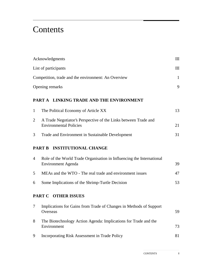# **Contents**

| Acknowledgments                                                        |                                                                                                    | $\mathbf{m}$      |
|------------------------------------------------------------------------|----------------------------------------------------------------------------------------------------|-------------------|
| List of participants                                                   |                                                                                                    | $\mathbf{m}$      |
| Competition, trade and the environment: An Overview<br>Opening remarks |                                                                                                    | $\mathbf{1}$<br>9 |
|                                                                        |                                                                                                    |                   |
| $\mathbf{1}$                                                           | The Political Economy of Article XX                                                                | 13                |
| $\overline{2}$                                                         | A Trade Negotiator's Perspective of the Links between Trade and<br><b>Environmental Policies</b>   | 21                |
| 3                                                                      | Trade and Environment in Sustainable Development                                                   | 31                |
|                                                                        | PART B INSTITUTIONAL CHANGE                                                                        |                   |
| 4                                                                      | Role of the World Trade Organisation in Influencing the International<br><b>Environment Agenda</b> | 39                |
| 5                                                                      | MEAs and the WTO - The real trade and environment issues                                           | 47                |
| 6                                                                      | Some Implications of the Shrimp-Turtle Decision                                                    | 53                |
|                                                                        | PART C OTHER ISSUES                                                                                |                   |
|                                                                        | Implications for Gains from Trade of Changes in Methods of Support<br>Overseas                     | 59                |
| 8                                                                      | The Biotechnology Action Agenda: Implications for Trade and the<br>Environment                     | 73                |
| 9                                                                      | Incorporating Risk Assessment in Trade Policy                                                      | 81                |
|                                                                        |                                                                                                    |                   |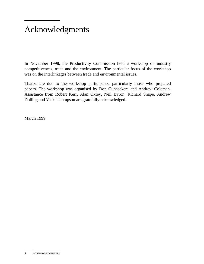# Acknowledgments

In November 1998, the Productivity Commission held a workshop on industry competitiveness, trade and the environment. The particular focus of the workshop was on the interlinkages between trade and environmental issues.

Thanks are due to the workshop participants, particularly those who prepared papers. The workshop was organised by Don Gunasekera and Andrew Coleman. Assistance from Robert Kerr, Alan Oxley, Neil Byron, Richard Snape, Andrew Dolling and Vicki Thompson are gratefully acknowledged.

March 1999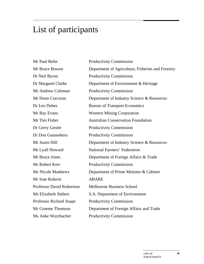# List of participants

Mr Paul Belin Productivity Commission Dr Neil Byron Productivity Commission Mr Andrew Coleman Productivity Commission Dr Gerry Gentle Productivity Commission Dr Don Gunasekera Productivity Commission Mr Robert Kerr Productivity Commission Mr Ivan Roberts **ABARE** Professor Richard Snape Productivity Commission Ms Anke Wurzbacher Productivity Commission

Mr Bruce Bowen Department of Agriculture, Fisheries and Forestry Dr Margaret Clarke Department of Environment & Heritage Mr Donn Corcoran Department of Industry Science & Resources Dr Leo Dobes Bureau of Transport Economics Mr Ray Evans Western Mining Corporation Mr Tim Fisher **Australian Conservation Foundation** Mr Justin Hill Department of Industry Science & Resources Mr Lyall Howard National Farmers' Federation Mr Bruce Jones Department of Foreign Affairs & Trade Ms Nicole Matthews Department of Prime Minister & Cabinet Professor David Robertson Melbourne Business School Ms Elizabeth Siebert S.A. Department of Environment Mr Graeme Thomson Department of Foreign Affairs and Trade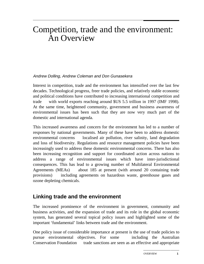## Competition, trade and the environment: An Overview

#### Andrew Dolling, Andrew Coleman and Don Gunasekera

Interest in competition, trade and the environment has intensified over the last few decades. Technological progress, freer trade policies, and relatively stable economic and political conditions have contributed to increasing international competition and trade — with world exports reaching around \$US 5.5 trillion in 1997 (IMF 1998). At the same time, heightened community, government and business awareness of environmental issues has been such that they are now very much part of the domestic and international agenda.

This increased awareness and concern for the environment has led to a number of responses by national governments. Many of these have been to address domestic environmental concerns  $\frac{1}{\sqrt{1-\frac{1}{\sqrt{1-\frac{1}{\sqrt{1-\frac{1}{\sqrt{1-\frac{1}{\sqrt{1-\frac{1}{\sqrt{1-\frac{1}{\sqrt{1-\frac{1}{\sqrt{1-\frac{1}{\sqrt{1-\frac{1}{\sqrt{1-\frac{1}{\sqrt{1-\frac{1}{\sqrt{1-\frac{1}{\sqrt{1-\frac{1}{\sqrt{1-\frac{1}{\sqrt{1-\frac{1}{\sqrt{1-\frac{1}{\sqrt{1-\frac{1}{\sqrt{1-\frac{1}{\sqrt{1-\frac{1}{\sqrt{1-\frac{1}{\sqrt{1-\frac{1}{\sqrt{$ and loss of biodiversity. Regulations and resource management policies have been increasingly used to address these domestic environmental concerns. There has also been increasing recognition and support for coordinated action across nations to address a range of environmental issues which have inter-jurisdictional consequences. This has lead to a growing number of Multilateral Environmental Agreements (MEAs)  $\rightarrow$  about 185 at present (with around 20 containing trade provisions) — including agreements on hazardous waste, greenhouse gases and ozone depleting chemicals.

#### **Linking trade and the environment**

The increased prominence of the environment in government, community and business activities, and the expansion of trade and its role in the global economic system, has generated several topical policy issues and highlighted some of the important 'fundamental' links between trade and the environment.

One policy issue of considerable importance at present is the use of trade policies to pursue environmental objectives. For some including the Australian Conservation Foundation — trade sanctions are seen as an effective and appropriate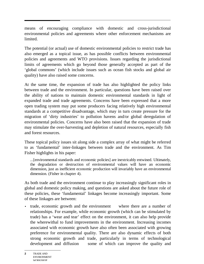means of encouraging compliance with domestic and cross-jurisdictional environmental policies and agreements where other enforcement mechanisms are limited.

The potential (or actual) use of domestic environmental policies to restrict trade has also emerged as a topical issue, as has possible conflicts between environmental policies and agreements and WTO provisions. Issues regarding the jurisdictional limits of agreements which go beyond those generally accepted as part of the 'global commons' (which include issues such as ocean fish stocks and global air quality) have also raised some concerns.

At the same time, the expansion of trade has also highlighted the policy links between trade and the environment. In particular, questions have been raised over the ability of nations to maintain domestic environmental standards in light of expanded trade and trade agreements. Concerns have been expressed that a more open trading system may put some producers facing relatively high environmental standards at a competitive disadvantage, which may in turn create pressure for the migration of 'dirty industries' to pollution havens and/or global deregulation of environmental policies. Concerns have also been raised that the expansion of trade may stimulate the over-harvesting and depletion of natural resources, especially fish and forest resources.

These topical policy issues sit along side a complex array of what might be referred to as 'fundamental' inter-linkages between trade and the environment. As Tim Fisher highlights in his paper:

...[environmental standards and economic policies] are inextricably entwined. Ultimately, the degradation or destruction of environmental values will have an economic dimension, just as inefficient economic production will invariably have an environmental dimension. (Fisher in chapter 4).

As both trade and the environment continue to play increasingly significant roles in global and domestic policy making, and questions are asked about the future role of these policies, these 'fundamental' linkages become increasingly important. Some of these linkages are between:

• trade, economic growth and the environment — where there are a number of relationships. For example, while economic growth (which can be stimulated by trade) has a 'wear and tear' effect on the environment, it can also help provide the wherewithal to fund improvements in the environment. Increasing incomes associated with economic growth have also often been associated with growing preference for environmental quality. There are also dynamic effects of both strong economic growth and trade, particularly in terms of technological development and diffusion  $\frac{1}{\sqrt{2}}$  some of which can improve the quality and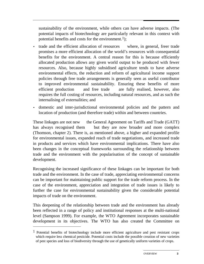sustainability of the environment, while others can have adverse impacts. (The potential impacts of biotechnology are particularly relevant in this context with potential benefits and costs for the environment.<sup>1</sup>);

- trade and the efficient allocation of resources where, in general, freer trade promises a more efficient allocation of the world's resources with consequential benefits for the environment. A central reason for this is because efficiently allocated production allows any given world output to be produced with fewer resources. Also, because highly subsidised agriculture tends to have adverse environmental effects, the reduction and reform of agricultural income support policies through free trade arrangements is generally seen as useful contributor to improved environmental sustainability. Ensuring these benefits of more efficient production  $-$  and free trade  $-$  are fully realised, however, also requires the full costing of resources, including natural resources, and as such the internalising of externalities; and
- domestic and inter-jurisdictional environmental policies and the pattern and location of production (and therefore trade) within and between countries.

These linkages are not new — the General Agreement on Tariffs and Trade (GATT) has always recognised them - but they are now broader and more complex (Thomson, chapter 2). There is, as mentioned above, a higher and expanded profile for environmental issues, expanded reach of trade negotiations, and increased trade in products and services which have environmental implications. There have also been changes in the conceptual frameworks surrounding the relationship between trade and the environment with the popularisation of the concept of sustainable development.

Recognising the increased significance of these linkages can be important for both trade and the environment. In the case of trade, appreciating environmental concerns can be important for maintaining public support for the trade reform process. In the case of the environment, appreciation and integration of trade issues is likely to further the case for environmental sustainability given the considerable potential impacts of trade on the environment.

This deepening of the relationship between trade and the environment has already been reflected in a range of policy and institutional responses at the multi-national level (Sampson 1999). For example, the WTO Agreement incorporates sustainable development in its objectives. The WTO has also created the Committee on

 $<sup>1</sup>$  Potential benefits of biotechnology include more efficient agriculture and pest resistant crops</sup> which require less chemical pesticide. Potential costs include the possible creation of new varieties of pest species and loss of biodiversity through the use of genetically uniform varieties of crops.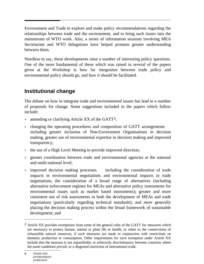Environment and Trade to explore and make policy recommendations regarding the relationships between trade and the environment, and to bring such issues into the mainstream of WTO work. Also, a series of information sessions involving MEA Secretariats and WTO delegations have helped promote greater understanding between them.

Needless to say, these developments raise a number of interesting policy questions. One of the more fundamental of these which was raised in several of the papers given at the Workshop is how far integration between trade policy and environmental policy should go, and how it should be facilitated.

### **Institutional change**

The debate on how to integrate trade and environmental issues has lead to a number of proposals for change. Some suggestions included in the papers which follow include:

- amending or clarifying Article XX of the GATT<sup>2</sup>;
- changing the operating procedures and composition of GATT arrangements including greater inclusion of Non-Government Organisations in decision making, greater use of environmental expertise in decision making and improved transparency;
- the use of a High Level Meeting to provide improved direction;
- greater coordination between trade and environmental agencies at the national and multi-national level;
- improved decision making processes including the consideration of trade impacts in environmental negotiations and environmental impacts in trade negotiations; the consideration of a broad range of alternatives (including alternative enforcement regimes for MEAs and alternative policy instruments for environmental issues such as market based instruments); greater and more consistent use of risk assessments in both the development of MEAs and trade negotiations (particularly regarding technical standards); and more generally placing the decision making process within the broad framework of sustainable development; and

 $2$  Article XX provides exemptions from some of the general rules of the GATT for measures which are necessary to protect human, animal or plant life or health, or relate to the conservation of exhaustible natural resources, if such measures are made in conjunction with restrictions on domestic production or consumption. Other requirements for such exemption under Article XX include that the measure is not unjustifiably or arbitrarily discriminatory between countries where the same conditions prevail, or a disguised restriction of international trade.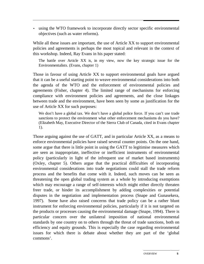• using the WTO framework to incorporate directly sector specific environmental objectives (such as water reforms).

While all these issues are important, the use of Article XX to support environmental policies and agreements is perhaps the most topical and relevant in the context of this workshop. Indeed, Ray Evans in his paper stated:

The battle over Article XX is, in my view, now the key strategic issue for the Environmentalists. (Evans, chapter 1)

Those in favour of using Article XX to support environmental goals have argued that it can be a useful starting point to weave environmental considerations into both the agenda of the WTO and the enforcement of environmental policies and agreements (Fisher, chapter 4). The limited range of mechanisms for enforcing compliance with environment policies and agreements, and the close linkages between trade and the environment, have been seen by some as justification for the use of Article XX for such purposes:

We don't have a global tax. We don't have a global police force. If you can't use trade sanctions to protect the environment what other enforcement mechanisms do you have? (Elizabeth May, Executive Director of the Sierra Club of Canada, cited in Evans chapter 1).

Those arguing against the use of GATT, and in particular Article XX, as a means to enforce environmental policies have raised several counter points. On the one hand, some argue that there is little point in using the GATT to legitimise measures which are seen as inappropriate, ineffective or inefficient instruments of environmental policy (particularly in light of the infrequent use of market based instruments) (Oxley, chapter 5). Others argue that the practical difficulties of incorporating environmental considerations into trade negotiations could stall the trade reform process and the benefits that come with it. Indeed, such moves can be seen as threatening the open global trading system as a whole by introducing exemptions which may encourage a range of self-interests which might either directly threaten freer trade, or hinder its accomplishment by adding complexities or potential disputes in the negotiation and implementation process (Snape and Gunasekera, 1997). Some have also raised concerns that trade policy can be a rather blunt instrument for enforcing environmental policies, particularly if it is not targeted on the products or processes causing the environmental damage (Snape, 1994). There is particular concern over the unilateral imposition of national environmental standards by one country on to others through the threat of trade sanctions, both on efficiency and equity grounds. This is especially the case regarding environmental issues for which there is debate about whether they are part of the 'global commons'.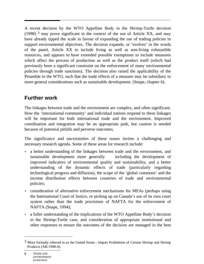A recent decision by the WTO Appellate Body in the Shrimp-Turtle decision (1998)  $3$  may prove significant in the context of the use of Article XX, and may have already tipped the scale in favour of expanding the use of trading policies to support environmental objectives. The decision expands, or 'evolves' in the words of the panel, Article XX to include living as well as non-living exhaustible resources, and appears to have extended possible exemptions to include measures which affect the process of production as well as the product itself (which had previously been a significant constraint on the enforcement of many environmental policies through trade sanctions). The decision also raised the applicability of the Preamble to the WTO, such that the trade effects of a measure may be subsidiary to more general considerations such as sustainable development. (Snape, chapter 6).

### **Further work**

The linkages between trade and the environment are complex, and often significant. How the 'international community' and individual nations respond to these linkages will be important for both international trade and the environment. Improved coordination and integration may be an appropriate path, but caution is needed because of potential pitfalls and perverse outcomes.

The significance and uncertainties of these issues invites a challenging and necessary research agenda. Some of these areas for research include:

- a better understanding of the linkages between trade and the environment, and sustainable development more generally — including the development of improved indicators of environmental quality and sustainability, and a better understanding of the dynamic effects of trade (particularly regarding technological progress and diffusion), the scope of the 'global commons' and the income distribution effects between countries of trade and environmental policies;
- consideration of alternative enforcement mechanisms for MEAs (perhaps using the International Court of Justice, or picking up on Canada's use of its own court system rather than the trade provisions of NAFTA for the enforcement of NAFTA (Snape, 1994);
- a fuller understanding of the implications of the WTO Appellate Body's decision in the Shrimp-Turtle case, and consideration of appropriate institutional and other responses to ensure the outcomes of the decision are managed in the best

 $3$  More formally referred to as the United States - Import Prohibition of Certain Shrimp and Shrimp Products (AB-1998-4).

**<sup>6</sup>** TRADE AND ENVIRONMENT **WORKSHOP**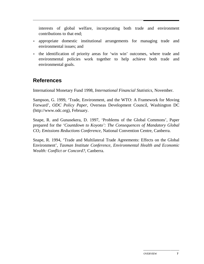interests of global welfare, incorporating both trade and environment contributions to that end;

- appropriate domestic institutional arrangements for managing trade and environmental issues; and
- the identification of priority areas for 'win win' outcomes, where trade and environmental policies work together to help achieve both trade and environmental goals.

### **References**

International Monetary Fund 1998, *International Financial Statistics*, November.

Sampson, G. 1999, 'Trade, Environment, and the WTO: A Framework for Moving Forward', *ODC Policy Paper*, Overseas Development Council, Washington DC (http://www.odc.org), February.

Snape, R. and Gunasekera, D. 1997, 'Problems of the Global Commons', Paper prepared for the *'Countdown to Koyoto': The Consequences of Mandatory Global CO2 Emissions Reductions Conference,* National Convention Centre, Canberra.

Snape, R. 1994, 'Trade and Multilateral Trade Agreements: Effects on the Global Environment', *Tasman Institute Conference, Environmental Health and Economic Wealth: Conflict or Concord?,* Canberra.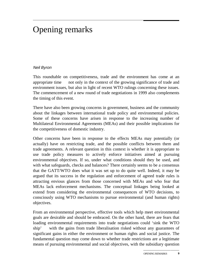# Opening remarks

#### Neil Byron

This roundtable on competitiveness, trade and the environment has come at an appropriate time  $\sim$  not only in the context of the growing significance of trade and environment issues, but also in light of recent WTO rulings concerning these issues. The commencement of a new round of trade negotiations in 1999 also complements the timing of this event.

There have also been growing concerns in government, business and the community about the linkages between international trade policy and environmental policies. Some of these concerns have arisen in response to the increasing number of Multilateral Environmental Agreements (MEAs) and their possible implications for the competitiveness of domestic industry.

Other concerns have been in response to the effects MEAs may potentially (or actually) have on restricting trade, and the possible conflicts between them and trade agreements. A relevant question in this context is whether it is appropriate to use trade policy measures to actively enforce initiatives aimed at pursuing environmental objectives. If so, under what conditions should they be used, and with what safeguards, checks and balances? There certainly seems to be a consensus that the GATT/WTO does what it was set up to do quite well. Indeed, it may be argued that its success in the regulation and enforcement of agreed trade rules is attracting envious glances from those concerned with MEAs and who fear that MEAs lack enforcement mechanisms. The conceptual linkages being looked at extend from considering the environmental consequences of WTO decisions, to consciously using WTO mechanisms to pursue environmental (and human rights) objectives.

From an environmental perspective, effective tools which help meet environmental goals are desirable and should be embraced. On the other hand, there are fears that loading environmental requirements into trade negotiations could 'sink the WTO  $\sin \theta$  with the gains from trade liberalisation risked without any guarantees of significant gains in either the environment or human rights and social justice. The fundamental question may come down to whether trade restrictions are a legitimate means of pursuing environmental and social objectives, with the subsidiary question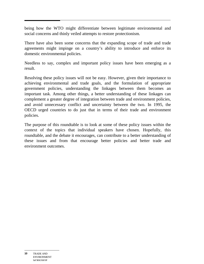being how the WTO might differentiate between legitimate environmental and social concerns and thinly veiled attempts to restore protectionism.

There have also been some concerns that the expanding scope of trade and trade agreements might impinge on a country's ability to introduce and enforce its domestic environmental policies.

Needless to say, complex and important policy issues have been emerging as a result.

Resolving these policy issues will not be easy. However, given their importance to achieving environmental and trade goals, and the formulation of appropriate government policies, understanding the linkages between them becomes an important task. Among other things, a better understanding of these linkages can complement a greater degree of integration between trade and environment policies, and avoid unnecessary conflict and uncertainty between the two. In 1995, the OECD urged countries to do just that in terms of their trade and environment policies.

The purpose of this roundtable is to look at some of these policy issues within the context of the topics that individual speakers have chosen. Hopefully, this roundtable, and the debate it encourages, can contribute to a better understanding of these issues and from that encourage better policies and better trade and environment outcomes.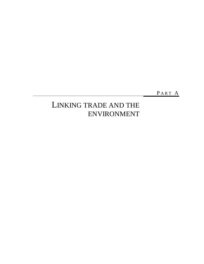PART A

### LINKING TRADE AND THE ENVIRONMENT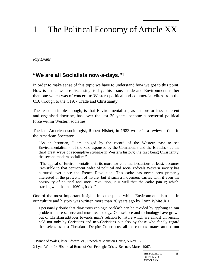# 1 The Political Economy of Article XX

*Ray Evans*

 $\overline{a}$ 

#### **"We are all Socialists now-a-days."1**

In order to make sense of this topic we have to understand how we got to this point. How is it that we are discussing, today, this issue, Trade and Environment, rather than one which was of concern to Western political and commercial elites from the C16 through to the C19, - Trade and Christianity.

The reason, simple enough, is that Environmentalism, as a more or less coherent and organised doctrine, has, over the last 30 years, become a powerful political force within Western societies.

The late American sociologist, Robert Nisbet, in 1983 wrote in a review article in the American Spectator,

"As an historian, I am obliged by the record of the Western past to see Environmentalism - of the kind espoused by the Commoners and the Ehrlichs - as the third great wave of redemptive struggle in Western history; the first being Christianity, the second modern socialism."

"The appeal of Environmentalism, in its more extreme manifestations at least, becomes irresistible to that permanent cadre of political and social radicals Western society has nurtured ever since the French Revolution. This cadre has never been primarily interested in the protection of nature, but if such a movement carries with it even the possibility of political and social revolution, it is well that the cadre join it; which, starting with the late 1960's, it did."

One of the most important insights into the place which Environmentalism has in our culture and history was written more than 30 years ago by Lynn White Jr.2

I personally doubt that disastrous ecologic backlash can be avoided by applying to our problems more science and more technology. Our science and technology have grown out of Christian attitudes towards man's relation to nature which are almost universally held not only by Christians and neo-Christians but also by those who fondly regard themselves as post-Christians. Despite Copernicus, all the cosmos rotates around our

<sup>1</sup> Prince of Wales, later Edward VII, Speech at Mansion House, 5 Nov 1895.

<sup>2</sup> Lynn White Jr. Historical Roots of Our Ecologic Crisis, Science, March 1967.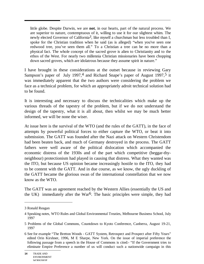little globe. Despite Darwin, we are **not**, in our hearts, part of the natural process. We are superior to nature, contemptuous of it, willing to use it for our slightest whim. The newly elected Governor of California*3*, like myself a churchman but less troubled than I, spoke for the Christian tradition when he said (as is alleged) "when you've seen one redwood tree, you've seen them all." To a Christian a tree can be no more than a physical fact. The whole concept of the sacred grove is alien to Christianity and to the ethos of the West. For nearly two millennia Christian missionaries have been chopping down sacred groves, which are idolatrous because they assume spirit in nature."

I have brought in these considerations at the outset because in reviewing Gary Sampson's paper of July 1997,<sup>4</sup> and Richard Snape's paper of August 1997,<sup>5</sup> it was immediately apparent that the two authors were considering the problem we face as a technical problem, for which an appropriately adroit technical solution had to be found.

It is interesting and necessary to discuss the technicalities which make up the various threads of the tapestry of the problem, but if we do not understand the design of the tapestry, what it is all about, then whilst we may be much better informed, we will be none the wiser.

At issue here is the survival of the WTO (and the rules of the GATT), in the face of attempts by powerful political forces to either capture the WTO, or beat it into submission. The GATT was founded after the Nazi attack on Western Christendom had been beaten back, and much of Germany destroyed in the process. The GATT fathers were well aware of the political dislocation which accompanied the economic distress of the 1930s and of the part which competitive (beggar-thyneighbour) protectionism had played in causing that distress. What they wanted was the ITO, but because US opinion became increasingly hostile to the ITO, they had to be content with the GATT. And in due course, as we know, the ugly duckling of the GATT became the glorious swan of the international constellation that we now know as the WTO.

The GATT was an agreement reached by the Western Allies (essentially the US and the UK) immediately after the War<sup>6</sup>. The basic principles were simple, they had

<sup>3</sup> Ronald Reagan

<sup>4</sup> Speaking notes, WTO Rules and Global Environmental Treaties, Melbourne Business School, July 1997

<sup>5</sup> Problems of the Global Commons, Countdown to Kyoto Conference, Canberra, August 19-21, 1997

<sup>6</sup> See for example "The Bretton Woods - GATT System, Retrospect and Prospect after Fifty Years" edited Orin Kirshner, 1996, M E Sharpe, New York. On the issue of imperial preference the following passage from a speech in the House of Commons is cited:- "If the Government tries to eliminate Empire Preference a number of us will conduct such a nationwide campaign in this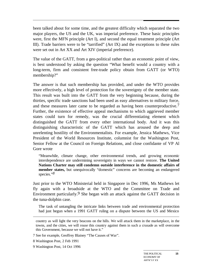been talked about for some time, and the greatest difficulty which separated the two major players, the US and the UK, was imperial preference. These basic principles were, first the MFN principle (Art I), and second the equal treatment principle (Art III). Trade barriers were to be "tarrified" (Art IX) and the exceptions to these rules were set out in Art XX and Art XIV (imperial preference).

The value of the GATT, from a geo-political rather than an economic point of view, is best understood by asking the question "What benefit would a country with a long-term, firm and consistent free-trade policy obtain from GATT (or WTO) membership?"

The answer is that such membership has provided, and under the WTO provides more effectively, a high level of protection for the sovereignty of the member state. This result was built into the GATT from the very beginning because, during the thirties, specific trade sanctions had been used as easy alternatives to military force, and these measures later came to be regarded as having been counterproductive.7 Further, the existence of effective appeal mechanisms to which aggrieved member states could turn for remedy, was the crucial differentiating element which distinguished the GATT from every other international body. And it was this distinguishing characteristic of the GATT which has aroused the deep and unrelenting hostility of the Environmentalists. For example, Jessica Mathews, Vice President of the World Resources Institute, columnist for the Washington Post, Senior Fellow at the Council on Foreign Relations, and close confidante of VP Al Gore wrote

"Meanwhile, climate change, other environmental trends, and growing economic interdependence are undermining sovereignty in ways we cannot restore. **The United Nations Charter may still condemn outside interference in the domestic affairs of member states,** but unequivocally "domestic" concerns are becoming an endangered species."*8*

Just prior to the WTO Ministerial held in Singapore in Dec 1996, Ms Mathews let fly again with a broadside at the WTO and the Committee on Trade and Environment particularly.<sup>9</sup> She began with an attack against the GATT decision in the tuna-dolphin case.

The task of untangling the intricate links between trade and environmental protection had just begun when a 1991 GATT ruling on a dispute between the US and Mexico

country as will light the very beacons on the hills. We will attack them in the marketplace, in the towns, and the cities, we will rouse this country against them in such a crusade as will overcome this Government, because we will not have it."

<sup>7</sup> See for example, Geoffrey Blainey "The Causes of War".

<sup>8</sup> Washington Post, 2 Feb 1991

<sup>9</sup> Washington Post, 14 Oct 1996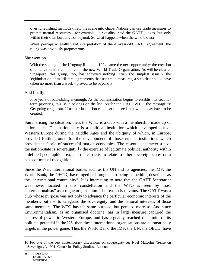over tune fishing methods threw the scene into chaos. Nations can use trade measures to protect natural resources - for example, air quality -said the GATT judges, but only within their own borders, not beyond. So what happens when the wind blows?

While perhaps a legally valid interpretation of the 45-year-old GATT agreement, the ruling was obviously preposterous.

#### She went on

With the signing of the Uruguay Round in 1994 came the next opportunity; the creation of an environment committee in the new World Trade Organisation. As will be clear at Singapore, this group, too, has achieved nothing. Even the simplest issue - the legitimisation of multilateral agreements that use trade measures, a step that should have taken no more than a week - proved to be beyond it.

#### And finally

Five years of backsliding is enough. As the administration begins to establish its secondterm priorities, this issue belongs on the list. As for the GATT/WTO, the message is: Get going or get out. If neither institution can meet the need, a new one may have to be created.

Summarising the situation, then, the WTO is a club with a membership made up of nation-states. The nation-state is a political institution which developed out of Western Europe during the Middle Ages and the ubiquity of which, in Europe, provided fertile ground for the development of those crucial institutions which provide the fabric of successful market economies. The essential characteristic of the nation-state is sovereignty,  $10$  the exercise of legitimate political authority within a defined geographic area, and the capacity to relate to other sovereign states on a basis of mutual recognition.

Since the War, international bodies such as the UN and its agencies, the IMF, the World Bank, the OECD, have together brought into being something described as the "international community". It is interesting to note that the GATT Secretariat was never located in this constellation and the WTO is seen by most "internationalists" as a rogue organisation. The reason is obvious. The GATT was a club whose purpose was not only to advance the particular economic interests of the members, but also to safeguard the sovereignty, and the national interests, of those same members. The WTO has the same purpose, but perhaps more so. And since Environmentalism, as an organised doctrine, has in large measure captured the centres of power in Western Europe, and has arguably reached the limits of its political potential in the US, then these international organisations are automatically targets in the power game. Thus the World Bank, the IMF, the UN, the OECD, have

<sup>10</sup> For one of the best contemporary discussions on sovereignty see Noel Malcolm "Sense on Sovereignty", 1991, Centre for Policy Studies, London

**<sup>16</sup>** TRADE AND ENVIRONMENT **WORKSHOP**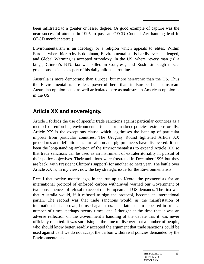been infiltrated to a greater or lesser degree. (A good example of capture was the near successful attempt in 1995 to pass an OECD Council Act banning lead in OECD member states.)

Environmentalism is an ideology or a religion which appeals to elites. Within Europe, where hierarchy is dominant, Environmentalism is hardly ever challenged, and Global Warming is accepted orthodoxy. In the US, where "every man (is) a king", Clinton's BTU tax was killed in Congress, and Rush Limbaugh mocks greenhouse science as part of his daily talk-back routine.

Australia is more democratic than Europe, but more heirarchic than the US. Thus the Environmentalists are less powerful here than in Europe but mainstream Australian opinion is not as well articulated here as mainstream American opinion is in the US.

### **Article XX and sovereignty.**

Article I forbids the use of specific trade sanctions against particular countries as a method of enforcing environmental (or labor market) policies extraterritorially. Article XX is the exceptions clause which legitimises the banning of particular imports from particular countries. The Uruguay Round tightened Article XX procedures and definitions as our salmon and pig producers have discovered. It has been the long-standing ambition of the Environmentalists to expand Article XX so that trade sanctions can be used as an instrument of extraterritoriality in pursuit of their policy objectives. Their ambitions were frustrated in December 1996 but they are back (with President Clinton's support) for another go next year. The battle over Article XX is, in my view, now the key strategic issue for the Environmentalists.

Recall that twelve months ago, in the run-up to Kyoto, the protagonists for an international protocol of enforced carbon withdrawal warned our Government of two consequences of refusal to accept the European and US demands. The first was that Australia would, if it refused to sign the protocol, become an international pariah. The second was that trade sanctions would, as the manifestation of international disapproval, be used against us. This latter claim appeared in print a number of times, perhaps twenty times, and I thought at the time that it was an adverse reflection on the Government's handling of the debate that it was never officially rebutted. It was surprising at the time to discover that a number of people, who should know better, readily accepted the argument that trade sanctions could be used against us if we do not accept the carbon withdrawal policies demanded by the Environmentalists.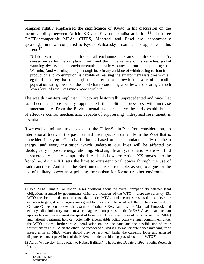Sampson rightly emphasised the significance of Kyoto in his discussion on the incompatibility between Article XX and Environmentalist ambition.<sup>11</sup> The three GATT-incompatible MEAs, CITES, Montreal and Basel are, economically speaking, minnows compared to Kyoto. Wildavsky's comment is apposite in this context.12

"Global Warming is the mother of all environmental scares. In the scope of its consequences for life on planet Earth and the immense size of its remedies, global warming dwarfs all the environmental; and safety scares of our time put together. Warming (and warming alone), through its primary antidote of withdrawing carbon from production and consumption, is capable of realising the environmentalists dream of an egalitarian society based on rejection of economic growth in favour of a smaller population eating lower on the food chain, consuming a lot less, and sharing a much lower level of resources much more equally."

The wealth transfers implicit in Kyoto are historically unprecedented and once that fact becomes more widely appreciated the political pressures will increase commensurately. From the Environmentalists' perspective the early establishment of effective control mechanisms, capable of suppressing widespread resentment, is essential.

If we exclude military treaties such as the Hitler-Stalin Pact from consideration, no international treaty in the past has had the impact on daily life in the West that is embedded in Kyoto. Our civilisation is based on the abundant supply of cheap energy, and every institution which underpins our lives will be affected by ideologically imposed energy rationing. Most significantly, the nation-state will find its sovereignty deeply compromised. And this is where Article XX moves into the front-line. Article XX sets the limit to extra-territorial power through the use of trade sanctions. And since the Environmentalists are unable, as yet, to argue for the use of military power as a policing mechanism for Kyoto or other environmental

<sup>11</sup> Ibid. "The Climate Convention raises questions about the overall compatibility between legal obligations assumed by governments which are members of the WTO - there are currently 131 WTO members - and commitments taken under MEAs, and the measures used to achieve the emission targets, if such targets are agreed to. For example, what will the implications be if the Climate Convention follows the example of other MEAs, such as the Montreal Protocol, and employs discriminatory trade measures against non-parties to the MEA? Given that such an approach is in theory against the spirit of basic GATT law covering most favoured nations (MFN) and national treatment, how can potentially incompatible policy goals - a legal commitment under the WTO towards further trade liberalisation on the one hand and the possible use of trade restrictions in an MEA on the other - be reconciled? And if a formal dispute arises involving trade measures in an MEA, where should they be resolved? Under the currently loose and untested dispute settlement provisions of the MEAs or under the binding provisions of the WTO?"

<sup>12</sup> Aaron Wildavsky, Introduction to Robert Ballings' "The Heated Debate", 1992, Pacific Research Institute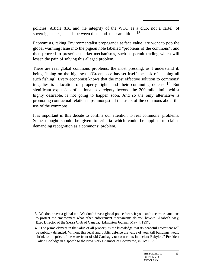policies, Article XX, and the integrity of the WTO as a club, not a cartel, of sovereign states, stands between them and their ambitions.<sup>13</sup>

Economists, taking Environmentalist propaganda at face value, are wont to pop the global warming issue into the pigeon hole labelled "problems of the commons", and then proceed to prescribe market mechanisms, such as permit trading which will lessen the pain of solving this alleged problem.

There are real global commons problems, the most pressing, as I understand it, being fishing on the high seas. (Greenpeace has set itself the task of banning all such fishing). Every economist knows that the most effective solution to commons' tragedies is allocation of property rights and their continuing defense.14 But significant expansion of national sovereignty beyond the 200 mile limit, whilst highly desirable, is not going to happen soon. And so the only alternative is promoting contractual relationships amongst all the users of the commons about the use of the commons.

It is important in this debate to confine our attention to real commons' problems. Some thought should be given to criteria which could be applied to claims demanding recognition as a commons' problem.

<sup>13 &</sup>quot;We don't have a global tax. We don't have a global police force. If you can't use trade sanctions to protect the environment what other enforcement mechanisms do you have?" Elizabeth May, Exec Director of the Sierra Club of Canada, Edmonton Journal, May 4, 1997.

<sup>14 &</sup>quot;The prime element in the value of all property is the knowledge that its peaceful enjoyment will be publicly defended. Without this legal and public defence the value of your tall buildings would shrink to the price of the waterfront of old Carthage, or corner lots in ancient Babylon." President Calvin Coolidge in a speech to the New York Chamber of Commerce, in Oct 1925.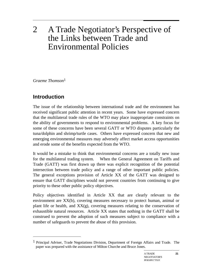# 2 A Trade Negotiator's Perspective of the Links between Trade and Environmental Policies

*Graeme Thomson*1

### **Introduction**

 $\overline{a}$ 

The issue of the relationship between international trade and the environment has received significant public attention in recent years. Some have expressed concern that the multilateral trade rules of the WTO may place inappropriate constraints on the ability of governments to respond to environmental problems. A key focus for some of these concerns have been several GATT or WTO disputes particularly the tuna/dolphin and shrimp/turtle cases. Others have expressed concern that new and emerging environmental measures may adversely affect market access opportunities and erode some of the benefits expected from the WTO.

It would be a mistake to think that environmental concerns are a totally new issue for the multilateral trading system. When the General Agreement on Tariffs and Trade (GATT) was first drawn up there was explicit recognition of the potential intersection between trade policy and a range of other important public policies. The general exceptions provision of Article XX of the GATT was designed to ensure that GATT disciplines would not prevent countries from continuing to give priority to these other public policy objectives.

Policy objectives identified in Article XX that are clearly relevant to the environment are XX(b), covering measures necessary to protect human, animal or plant life or health, and  $XX(g)$ , covering measures relating to the conservation of exhaustible natural resources. Article XX states that nothing in the GATT shall be construed to prevent the adoption of such measures subject to compliance with a number of safeguards to prevent the abuse of this provision.

<sup>&</sup>lt;sup>1</sup> Principal Adviser, Trade Negotiations Division, Department of Foreign Affairs and Trade. The paper was prepared with the assistance of Milton Churche and Bruce Jones.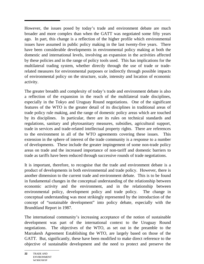However, the issues posed by today's trade and environment debate are much broader and more complex than when the GATT was negotiated some fifty years ago. In part, this change is a reflection of the higher profile which environmental issues have assumed in public policy making in the last twenty-five years. There have been considerable developments in environmental policy making at both the domestic and international levels, involving an expansion in the activities affected by these policies and in the range of policy tools used. This has implications for the multilateral trading system, whether directly through the use of trade or traderelated measures for environmental purposes or indirectly through possible impacts of environmental policy on the structure, scale, intensity and location of economic activity.

The greater breadth and complexity of today's trade and environment debate is also a reflection of the expansion in the reach of the multilateral trade disciplines, especially in the Tokyo and Uruguay Round negotiations. One of the significant features of the WTO is the greater detail of its disciplines in traditional areas of trade policy rule making, and the range of domestic policy areas which are touched by its disciplines. In particular, there are its rules on technical standards and regulations, sanitary and phytosanitary measures, subsidies, agricultural support, trade in services and trade-related intellectual property rights. There are references to the environment in all of the WTO agreements covering these issues. This extension in the sphere of interest of the trade community is a response to a number of developments. These include the greater impingement of some non-trade policy areas on trade and the increased importance of non-tariff and domestic barriers to trade as tariffs have been reduced through successive rounds of trade negotiations.

It is important, therefore, to recognise that the trade and environment debate is a product of developments in both environmental and trade policy. However, there is another dimension to the current trade and environment debate. This is to be found in fundamental changes in the conceptual understanding of the relationship between economic activity and the environment, and in the relationship between environmental policy, development policy and trade policy. The change in conceptual understanding was most strikingly represented by the introduction of the concept of "sustainable development" into policy debate, especially with the Brundtland Report in 1987.

The international community's increasing acceptance of the notion of sustainable development was part of the international context to the Uruguay Round negotiations. The objectives of the WTO, as set out in the preamble to the Marrakesh Agreement Establishing the WTO, are largely based on those of the GATT. But, significantly, these have been modified to make direct reference to the objective of sustainable development and the need to protect and preserve the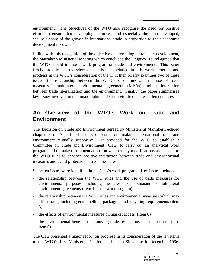environment. The objectives of the WTO also recognise the need for positive efforts to ensure that developing countries, and especially the least developed, secure a share of the growth in international trade in proportion to their economic development needs.

In line with this recognition of the objective of promoting sustainable development, the Marrakesh Ministerial Meeting which concluded the Uruguay Round agreed that the WTO should initiate a work program on trade and environment. This paper firstly provides an overview of the issues included in this work program and progress in the WTO's consideration of them. It then briefly examines two of these issues: the relationship between the WTO's disciplines and the use of trade measures in multilateral environmental agreements (MEAs); and the interaction between trade liberalization and the environment. Finally, the paper summarises key issues involved in the tuna/dolphin and shrimp/turtle dispute settlement cases.

### **An Overview of the WTO's Work on Trade and Environment**

The 'Decision on Trade and Environment' agreed by Ministers at Marrakesh echoed chapter 2 of Agenda 21 in its emphasis on 'making international trade and environment mutually supportive'. It provided for the WTO to establish a Committee on Trade and Environment (CTE) to carry out an analytical work program and to make recommendations on whether any modifications are needed to the WTO rules to enhance positive interaction between trade and environmental measures and avoid protectionist trade measures.

Some ten issues were identified in the CTE's work program. Key issues included:

- the relationship between the WTO rules and the use of trade measures for environmental purposes, including measures taken pursuant to multilateral environment agreements (item 1 of the work program)
- the relationship between the WTO rules and environmental measures which may affect trade, including eco-labelling, packaging and recycling requirements (item 3)
- the effects of environmental measures on market access (item 6)
- the environmental benefits of removing trade restrictions and distortions (also item 6).

The CTE presented a major report on progress in its consideration of the ten items to the WTO's first Ministerial Conference held in Singapore in December 1996.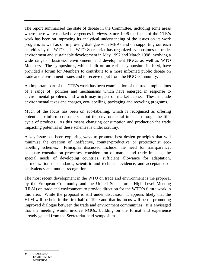The report summarised the state of debate in the Committee, including some areas where there were marked divergences in views. Since 1996 the focus of the CTE's work has been on improving its analytical understanding of the issues on its work program, as well as on improving dialogue with MEAs and on supporting outreach activities by the WTO. The WTO Secretariat has organized symposiums on trade, environment and sustainable development in May 1997 and March 1998 involving a wide range of business, environment, and development NGOs as well as WTO Members. The symposiums, which built on an earlier symposium in 1994, have provided a forum for Members to contribute to a more informed public debate on trade and environment issues and to receive input from the NGO community.

An important part of the CTE's work has been examination of the trade implications of a range of policies and mechanisms which have emerged in response to environmental problems and which may impact on market access. These include environmental taxes and charges, eco-labelling, packaging and recycling programs.

Much of the focus has been on eco-labelling, which is recognised as offering potential to inform consumers about the environmental impacts through the lifecycle of products. As this means changing consumption and production the trade impacting potential of these schemes is under scrutiny.

A key issue has been exploring ways to promote best design principles that will minimise the creation of ineffective, counter-productive or protectionist ecolabelling schemes. Principles discussed include: the need for transparency, adequate consultation processes, consideration of market and trade impacts, the special needs of developing countries, sufficient allowance for adaptation, harmonization of standards, scientific and technical evidence, and acceptance of equivalency and mutual recognition

The most recent development in the WTO on trade and environment is the proposal by the European Community and the United States for a High Level Meeting (HLM) on trade and environment to provide direction for the WTO's future work in this area. While the proposal is still under discussion, it appears likely that the HLM will be held in the first half of 1999 and that its focus will be on promoting improved dialogue between the trade and environment communities. It is envisaged that the meeting would involve NGOs, building on the format and experience already gained from the Secretariat-held symposiums.

**24** TRADE AND ENVIRONMENT **WORKSHOP**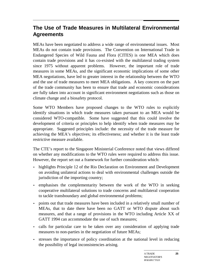### **The Use of Trade Measures in Multilateral Environmental Agreements**

MEAs have been negotiated to address a wide range of environmental issues. Most MEAs do not contain trade provisions. The Convention on International Trade in Endangered Species of Wild Fauna and Flora (CITES) is one MEA which does contain trade provisions and it has co-existed with the multilateral trading system since 1975 without apparent problems. However, the important role of trade measures in some MEAs, and the significant economic implications of some other MEA negotiations, have led to greater interest in the relationship between the WTO and the use of trade measures to meet MEA obligations. A key concern on the part of the trade community has been to ensure that trade and economic considerations are fully taken into account in significant environment negotiations such as those on climate change and a biosafety protocol.

Some WTO Members have proposed changes to the WTO rules to explicitly identify situations in which trade measures taken pursuant to an MEA would be considered WTO-compatible. Some have suggested that this could involve the development of criteria or principles to help identify when trade measures may be appropriate. Suggested principles include: the necessity of the trade measure for achieving the MEA's objectives; its effectiveness; and whether it is the least trade restrictive measure available.

The CTE's report to the Singapore Ministerial Conference noted that views differed on whether any modifications to the WTO rules were required to address this issue. However, the report set out a framework for further consideration which:

- highlights Principle 12 of the Rio Declaration on Environment and Development on avoiding unilateral actions to deal with environmental challenges outside the jurisdiction of the importing country;
- emphasises the complementarity between the work of the WTO in seeking cooperative multilateral solutions to trade concerns and multilateral cooperation to tackle transboundary and global environmental problems;
- points out that trade measures have been included in a relatively small number of MEAs, that to date there have been no GATT or WTO dispute about such measures, and that a range of provisions in the WTO including Article XX of GATT 1994 can accommodate the use of such measures;
- calls for particular care to be taken over any consideration of applying trade measures to non-parties in the negotiation of future MEAs;
- stresses the importance of policy coordination at the national level in reducing the possibility of legal inconsistencies arising.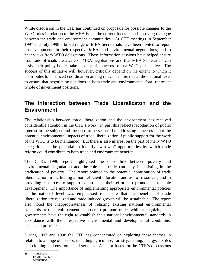While discussion in the CTE has continued on proposals for possible changes to the WTO rules in relation to the MEA issue, the current focus is on improving dialogue between the trade and environment communities. At CTE meetings in September 1997 and July 1998 a broad range of MEA Secretariats have been invited to report on developments in their respective MEAs and environmental negotiations, and to hear views from WTO delegations. These information sessions have helped ensure that trade officials are aware of MEA negotiations and that MEA Secretariats can assist their policy bodies take account of concerns from a WTO perspective. The success of this initiative will, however, critically depend on the extent to which it contributes to enhanced coordination among relevant ministries at the national level to ensure that negotiating positions in both trade and environmental fora represent whole of government positions.

### **The Interaction between Trade Liberalizaton and the Environment**

The relationship between trade liberalization and the environment has received considerable attention in the CTE's work. In part this reflects recognition of public interest in the subject and the need to be seen to be addressing concerns about the potential environmental impacts of trade liberalization if public support for the work of the WTO is to be maintained. But there is also interest on the part of many WTO delegations in the potential to identify "win-win" opportunities by which trade reform could contribute to both trade and environment benefits.

The CTE's 1996 report highlighted the close link between poverty and environmental degradation and the role that trade can play in assisting in the eradication of poverty. The report pointed to the potential contribution of trade liberalization in facilitating a more efficient allocation and use of resources, and in providing resources to support countries in their efforts to promote sustainable development. The importance of implementing appropriate environmental policies at the national level was emphasised to ensure that the benefits of trade liberalization are realized and trade-induced growth will be sustainable. The report also noted the inappropriateness of relaxing existing national environmental standards or their enforcement in order to promote trade, while recognizing that governments have the right to establish their national environmental standards in accordance with their respective environmental and developmental conditions, needs and priorities.

During 1997 and 1998 the CTE has concentrated on exploring these themes in relation to a range of sectors, including agriculture, forestry, fishing, energy, textiles and clothing and environmental services. A major focus for the CTE's discussions

**<sup>26</sup>** TRADE AND ENVIRONMENT **WORKSHOP**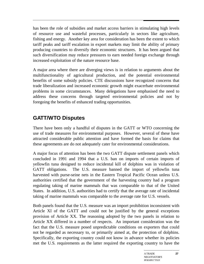has been the role of subsidies and market access barriers in stimulating high levels of resource use and wasteful processes, particularly in sectors like agriculture, fishing and energy. Another key area for consideration has been the extent to which tariff peaks and tariff escalation in export markets may limit the ability of primary producing countries to diversify their economic structures. It has been argued that such diversification may reduce pressures to earn needed foreign exchange through increased exploitation of the nature resource base.

A major area where there are diverging views is in relation to arguments about the multifunctionality of agricultural production, and the potential environmental benefits of some subsidy policies. CTE discussions have recognized concerns that trade liberalization and increased economic growth might exacerbate environmental problems in some circumstances. Many delegations have emphasised the need to address these concerns through targeted environmental policies and not by foregoing the benefits of enhanced trading opportunities.

### **GATT/WTO Disputes**

There have been only a handful of disputes in the GATT or WTO concerning the use of trade measures for environmental purposes. However, several of these have attracted considerable public attention and have formed the basis for claims that these agreements are do not adequately cater for environmental considerations.

A major focus of attention has been the two GATT dispute settlement panels which concluded in 1991 and 1994 that a U.S. ban on imports of certain imports of yellowfin tuna designed to reduce incidental kill of dolphins was in violation of GATT obligations. The U.S. measure banned the import of yellowfin tuna harvested with purse-seine nets in the Eastern Tropical Pacific Ocean unless U.S. authorities certified that the government of the harvesting country had a program regulating taking of marine mammals that was comparable to that of the United States. In addition, U.S. authorities had to certify that the average rate of incidental taking of marine mammals was comparable to the average rate for U.S. vessels.

Both panels found that the U.S. measure was an import prohibition inconsistent with Article XI of the GATT and could not be justified by the general exceptions provision of Article XX. The reasoning adopted by the two panels in relation to Article XX differed in a number of respects. An important consideration was the fact that the U.S. measure posed unpredictable conditions on exporters that could not be regarded as necessary to, or primarily aimed at, the protection of dolphins. Specifically, the exporting country could not know in advance whether its policies met the U.S. requirements as the latter required the exporting country to have the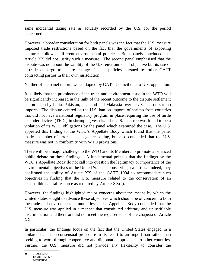same incidental taking rate as actually recorded by the U.S. for the period concerned.

However, a broader consideration for both panels was the fact that the U.S. measure imposed trade restrictions based on the fact that the governments of exporting countries followed different environmental policies. Both panels concluded that Article XX did not justify such a measure. The second panel emphasised that the dispute was not about the validity of the U.S. environmental objective but its use of a trade embargo to secure changes in the policies pursued by other GATT contracting parties in their own jurisdiction.

Neither of the panel reports were adopted by GATT Council due to U.S. opposition.

It is likely that the prominence of the trade and environment issue in the WTO will be significantly increased in the light of the recent outcome to the dispute settlement action taken by India, Pakistan, Thailand and Malaysia over a U.S. ban on shrimp imports. The dispute centred on the U.S. ban on imports of shrimp from countries that did not have a national regulatory program in place requiring the use of turtle excluder devices (TEDs) in shrimping vessels. The U.S. measure was found to be a violation of its WTO obligations by the panel which examined the case. The U.S. appealed this finding to the WTO's Appellate Body which found that the panel made a number of errors in its legal reasoning, but also concluded that the U.S. measure was not in conformity with WTO provisions.

There will be a major challenge to the WTO and its Members to promote a balanced public debate on these findings. A fundamental point is that the findings by the WTO's Appellate Body do not call into question the legitimacy or importance of the environmental objectives of the United States in conserving sea turtles. Indeed, they confirmed the ability of Article XX of the GATT 1994 to accommodate such objectives in finding that the U.S. measure related to the conservation of an exhaustible natural resource as required by Article  $XX(g)$ .

However, the findings highlighted major concerns about the means by which the United States sought to advance these objectives which should be of concern to both the trade and environment communities. The Appellate Body concluded that the U.S. measure was applied in a manner that constituted arbitrary and unjustifiable discrimination and therefore did not meet the requirements of the chapeau of Article XX.

In particular, the findings focus on the fact that the United States engaged in a unilateral and non-consensual procedure in its resort to an import ban rather than seeking to work through cooperative and diplomatic approaches to other countries. Further, the U.S. measure did not provide any flexibility to consider the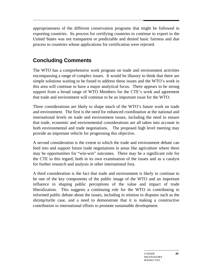appropriateness of the different conservation programs that might be followed in exporting countries. Its process for certifying countries to continue to export to the United States was not transparent or predictable and denied basic fairness and due process to countries whose applications for certification were rejected.

### **Concluding Comments**

The WTO has a comprehensive work program on trade and environment activities encompassing a range of complex issues. It would be illusory to think that there are simple solutions waiting to be found to address these issues and the WTO's work in this area will continue to have a major analytical focus. There appears to be strong support from a broad range of WTO Members for the CTE's work and agreement that trade and environment will continue to be an important issue for the WTO.

Three considerations are likely to shape much of the WTO's future work on trade and environment. The first is the need for enhanced coordination at the national and international levels on trade and environment issues, including the need to ensure that trade, economic and environmental considerations are all taken into account in both environmental and trade negotiations. The proposed high level meeting may provide an important vehicle for progressing this objective.

A second consideration is the extent to which the trade and environment debate can feed into and support future trade negotiations in areas like agriculture where there may be opportunities for "win-win" outcomes. There may be a significant role for the CTE in this regard, both in its own examination of the issues and as a catalyst for further research and analysis in other international fora.

A third consideration is the fact that trade and environment is likely to continue to be one of the key components of the public image of the WTO and an important influence in shaping public perceptions of the value and impact of trade liberalization. This suggests a continuing role for the WTO in contributing to informed public debate about the issues, including in relation to disputes such as the shrimp/turtle case, and a need to demonstrate that it is making a constructive contribution to international efforts to promote sustainable development.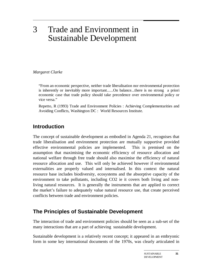# 3 Trade and Environment in Sustainable Development

*Margaret Clarke*

"From an economic perspective, neither trade liberalisation nor environmental protection is inherently or inevitably more important......On balance...there is no strong a priori economic case that trade policy should take precedence over environmental policy or vice versa."

Repetto, R (1993) Trade and Environment Policies : Achieving Complementarities and Avoiding Conflicts, Washington DC : World Resources Institute.

### **Introduction**

The concept of sustainable development as embodied in Agenda 21, recognises that trade liberalisation and environment protection are mutually supportive provided effective environmental policies are implemented. This is premised on the assumption that maximising the economic efficiency of resource allocation and national welfare through free trade should also maximise the efficiency of natural resource allocation and use. This will only be achieved however if environmental externalities are properly valued and internalised. In this context the natural resource base includes biodiversity, ecosystems and the absorptive capacity of the environment to take pollutants, including CO2 ie it covers both living and nonliving natural resources. It is generally the instruments that are applied to correct the market's failure to adequately value natural resource use, that create perceived conflicts between trade and environment policies.

### **The Principles of Sustainable Development**

The interaction of trade and environment policies should be seen as a sub-set of the many interactions that are a part of achieving sustainable development.

Sustainable development is a relatively recent concept; it appeared in an embryonic form in some key international documents of the 1970s, was clearly articulated in

**31**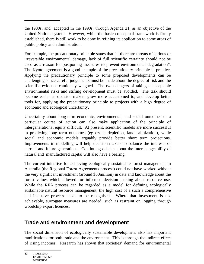the 1980s, and accepted in the 1990s, through Agenda 21, as an objective of the United Nations system. However, while the basic conceptual framework is firmly established, there is still work to be done in refining its application to some areas of public policy and administration.

For example, the precautionary principle states that "if there are threats of serious or irreversible environmental damage, lack of full scientific certainty should not be used as a reason for postponing measures to prevent environmental degradation". The Kyoto agreement is a good example of the precautionary principle in practice. Applying the precautionary principle to some proposed developments can be challenging, since careful judgements must be made about the degree of risk and the scientific evidence cautiously weighed. The twin dangers of taking unacceptable environmental risks and stifling development must be avoided. The task should become easier as decision-makers grow more accustomed to, and develop better tools for, applying the precautionary principle to projects with a high degree of economic and ecological uncertainty.

Uncertainty about long-term economic, environmental, and social outcomes of a particular course of action can also make application of the principle of intergenerational equity difficult. At present, scientific models are more successful in predicting long term outcomes (eg ozone depletion, land salinization), while social and economic models arguably provide better short term projections. Improvements in modelling will help decision-makers to balance the interests of current and future generations. Continuing debates about the interchangeability of natural and manufactured capital will also have a bearing.

The current initiative for achieving ecologically sustainable forest management in Australia (the Regional Forest Agreements process) could not have worked without the very significant investment (around \$60million) in data and knowledge about the forest values which allowed for informed decision making about resource use. While the RFA process can be regarded as a model for defining ecologically sustainable natural resource management, the high cost of a such a comprehensive and inclusive process needs to be recognised. Where that investment is not achievable, surrogate measures are needed, such as restraint on logging through woodchip export licences.

### **Trade and environment and development**

The social dimension of ecologically sustainable development also has important ramifications for both trade and the environment. This is through the indirect effect of rising incomes. Research has shown that societies' demand for environmental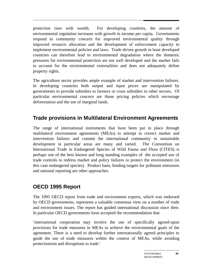protection rises with wealth. For developing countries, the amount of environmental regulation increases with growth in income per capita. Governments respond to community concern for improved environmental quality through improved resource allocation and the development of enforcement capacity to implement environmental policies and laws. Trade driven growth in least developed countries can therefore lead to environmental degradation where the domestic pressures for environmental protection are not well developed and the market fails to account for the environmental externalities and does not adequately define property rights.

The agriculture sector provides ample example of market and intervention failures. In developing countries both output and input prices are manipulated by governments to provide subsidies to farmers or cross subsidies to other sectors. Of particular environmental concern are those pricing policies which encourage deforestation and the use of marginal lands.

## **Trade provisions in Multilateral Environment Agreements**

The range of international instruments that have been put in place through multilateral environment agreements (MEAs) to attempt to correct market and intervention failures and commit the international community to sustainable development in particular areas are many and varied. The Convention on International Trade in Endangered Species of Wild Fauna and Flora (CITES) is perhaps one of the best known and long standing examples of the accepted use of trade controls to redress market and policy failures to protect the environment (in this case endangered species). Product bans, binding targets for pollutant emissions and national reporting are other approaches.

## **OECD 1995 Report**

The 1995 OECD report from trade and environment experts, which was endorsed by OECD governments, represents a valuable consensus view on a number of trade and environment issues. The report has guided international discussion since then. In particular OECD governments have accepted the recommendation that

'international cooperation may involve the use of specifically agreed-upon provisions for trade measures in MEAs to achieve the environmental goals of the agreement. There is a need to develop further internationally agreed principles to guide the use of trade measures within the context of MEAs, while avoiding protectionism and disruptions to trade'.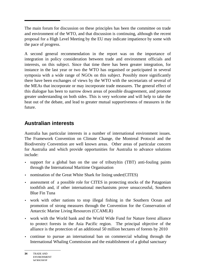The main forum for discussion on these principles has been the committee on trade and environment of the WTO, and that discussion is continuing, although the recent proposal for a High Level Meeting by the EU may indicate impatience by some with the pace of progress.

A second general recommendation in the report was on the importance of integration in policy consideration between trade and environment officials and interests, on this subject. Since that time there has been greater integration, for instance in the last year or two the WTO has organised or participated in several symposia with a wide range of NGOs on this subject. Possibly more significantly there have been exchanges of views by the WTO with the secretariats of several of the MEAs that incorporate or may incorporate trade measures. The general effect of this dialogue has been to narrow down areas of possible disagreement, and promote greater understanding on both sides. This is very welcome and will help to take the heat out of the debate, and lead to greater mutual supportiveness of measures in the future.

## **Australian interests**

Australia has particular interests in a number of international environment issues. The Framework Convention on Climate Change, the Montreal Protocol and the Biodiversity Convention are well known areas. Other areas of particular concern for Australia and which provide opportunities for Australia to advance solutions include:

- support for a global ban on the use of tributyltin (TBT) anti-fouling paints through the International Maritime Organisation
- nomination of the Great White Shark for listing under (CITES)
- assessment of a possible role for CITES in protecting stocks of the Patagonian toothfish and, if other international mechanisms prove unsuccessful, Southern Blue Fin Tuna
- work with other nations to stop illegal fishing in the Southern Ocean and promotion of strong measures through the Convention for the Conservation of Antarctic Marine Living Resources (CCAMLR)
- work with the World bank and the World Wide Fund for Nature forest alliance to protect forests in the Asia Pacific region. The principal objective of the alliance is the protection of an additional 50 million hectares of forests by 2010
- continue to pursue an international ban on commercial whaling through the International Whaling Commission and the establishment of a global sanctuary

**<sup>34</sup>** TRADE AND ENVIRONMENT **WORKSHOP**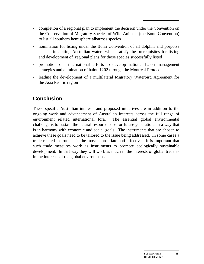- completion of a regional plan to implement the decision under the Convention on the Conservation of Migratory Species of Wild Animals (the Bonn Convention) to list all southern hemisphere albatross species
- nomination for listing under the Bonn Convention of all dolphin and porpoise species inhabiting Australian waters which satisfy the prerequisites for listing and development of regional plans for those species successfully listed
- promotion of international efforts to develop national halon management strategies and elimination of halon 1202 through the Montreal Protocol
- leading the development of a multilateral Migratory Waterbird Agreement for the Asia Pacific region

# **Conclusion**

These specific Australian interests and proposed initiatives are in addition to the ongoing work and advancement of Australian interests across the full range of environment related international fora. The essential global environmental challenge is to sustain the natural resource base for future generations in a way that is in harmony with economic and social goals. The instruments that are chosen to achieve these goals need to be tailored to the issue being addressed. In some cases a trade related instrument is the most appropriate and effective. It is important that such trade measures work as instruments to promote ecologically sustainable development. In that way they will work as much in the interests of global trade as in the interests of the global environment.

**35**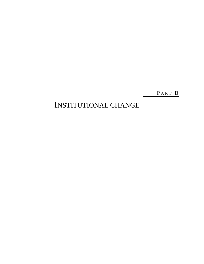PART B

# INSTITUTIONAL CHANGE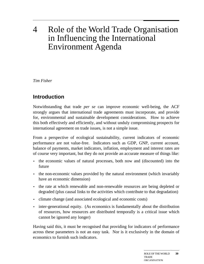# 4 Role of the World Trade Organisation in Influencing the International Environment Agenda

*Tim Fisher*

# **Introduction**

Notwithstanding that trade *per se* can improve economic well-being, the ACF strongly argues that international trade agreements must incorporate, and provide for, environmental and sustainable development considerations. How to achieve this both effectively and efficiently, and without unduly compromising prospects for international agreement on trade issues, is not a simple issue.

From a perspective of ecological sustainability, current indicators of economic performance are not value-free. Indicators such as GDP, GNP, current account, balance of payments, market indicators, inflation, employment and interest rates are of course very important, but they do not provide an accurate measure of things like:

- the economic values of natural processes, both now and (discounted) into the future
- the non-economic values provided by the natural environment (which invariably have an economic dimension)
- the rate at which renewable and non-renewable resources are being depleted or degraded (plus causal links to the activities which contribute to that degradation)
- climate change (and associated ecological and economic costs)
- inter-generational equity. (As economics is fundamentally about the distribution of resources, how resources are distributed temporally is a critical issue which cannot be ignored any longer)

Having said this, it must be recognised that providing for indicators of performance across these parameters is not an easy task. Nor is it exclusively in the domain of economics to furnish such indicators.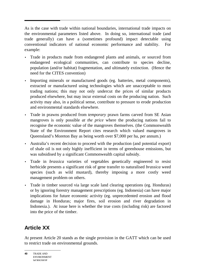As is the case with trade within national boundaries, international trade impacts on the environmental parameters listed above. In doing so, international trade (and trade generally) can have a (sometimes profound) impact detectable using conventional indicators of national economic performance and stability. For example:

- Trade in products made from endangered plants and animals, or sourced from endangered ecological communities, can contribute to species decline, population (and/or habitat) fragmentation, and ultimately extinction. (Hence the need for the CITES convention)
- Importing minerals or manufactured goods (eg. batteries, metal components), extracted or manufactured using technologies which are unacceptable to most trading nations; this may not only undercut the prices of similar products produced elsewhere, but may incur external costs on the producing nation. Such activity may also, in a political sense, contribute to pressure to erode production and environmental standards elsewhere.
- Trade in prawns produced from *temporary* prawn farms carved from SE Asian mangroves is only possible *at the price* where the producing nations fail to recognise the economic value of the mangroves themselves. (the Commonwealth State of the Environment Report cites research which valued mangroves in Queensland's Moreton Bay as being worth over \$7,000 per ha, per annum.)
- Australia's recent decision to proceed with the production (and potential export) of shale oil is not only highly inefficient in terms of greenhouse emissions, but was subsidised by a significant Commonwealth capital subsidy.
- Trade in *brassica* varieties of vegetables genetically engineered to resist herbicide presents a significant risk of gene transfer to naturalised *brassica* weed species (such as wild mustard), thereby imposing a more costly weed management problem on others.
- Trade in timber sourced via large scale land clearing operations (eg. Honduras) or by ignoring forestry management prescriptions (eg. Indonesia) can have major implications for future economic activity (eg. unprecedented erosion and flood damage in Honduras; major fires, soil erosion and river degradation in Indonesia.). At issue here is whether the true costs (including risk) are factored into the price of the timber.

# **Article XX**

At present Article 20 stands as the single provision in the GATT which can be used to restrict trade on environmental grounds.

**40** TRADE AND ENVIRONMENT WORKSHOP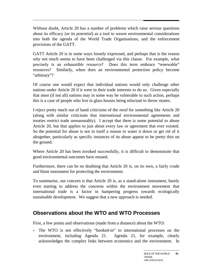Without doubt, Article 20 has a number of problems which raise serious questions about its efficacy (or its *potential*) as a tool to weave environmental considerations into both the agenda of the World Trade Organisations, and the enforcement provisions of the GATT.

GATT Article 20 is in some ways loosely expressed, and perhaps that is the reason why not much seems to have been challenged via this clause. For example, what precisely is an *exhaustible resource*? Does this term embrace "renewable" resources? Similarly, when does an environmental protection policy become "arbitrary"?

Of course one would expect that individual nations would only challenge other nations under Article 20 if it were in their trade interests to do so. Given especially that most (if not all) nations may in some way be vulnerable to such action, perhaps this is a case of people who live in glass houses being reluctant to throw stones.

I reject pretty much out of hand criticisms of the *need* for something like Article 20 (along with similar criticisms that international environmental agreements and treaties restrict trade unreasonably). I accept that there is some potential to abuse Article 20, but that applies to just about every law or agreement that ever existed. So the potential for abuse is not in itself a reason to water it down or get rid of it altogether, particularly as specific instances of its abuse appear to be pretty thin on the ground.

Where Article 20 has been invoked successfully, it is difficult to demonstrate that good environmental outcomes have ensued.

Furthermore, there can be no doubting that Article 20 is, on its own, a fairly crude and blunt instrument for protecting the environment.

To summarise, our concern is that Article 20 is, as a stand-alone instrument, barely even starting to address the concerns within the environment movement that international trade is a factor in hampering progress towards ecologically sustainable development. We suggest that a new approach is needed.

## **Observations about the WTO and WTO Processes**

First, a few points and observations (made from a distance) about the WTO:

• The WTO is not effectively "hooked-in" to international processes on the environment, including Agenda 21. Agenda 21, for example, clearly acknowledges the complex links between economics and the environment. In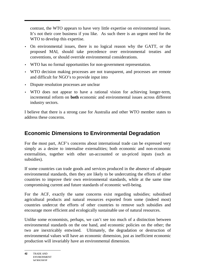contrast, the WTO appears to have very little expertise on environmental issues. It's not their core business if you like. As such there is an urgent need for the WTO to develop this expertise.

- On environmental issues, there is no logical reason why the GATT, or the proposed MAI, should take precedence over environmental treaties and conventions, or should override environmental considerations.
- WTO has no formal opportunities for non-government representation.
- WTO decision making processes are not transparent, and processes are remote and difficult for NGO's to provide input into
- Dispute resolution processes are unclear
- WTO does not appear to have a rational vision for achieving longer-term, incremental reform on **both** economic and environmental issues across different industry sectors.

I believe that there is a strong case for Australia and other WTO member states to address these concerns.

# **Economic Dimensions to Environmental Degradation**

For the most part, ACF's concerns about international trade can be expressed very simply as a desire to internalise externalities; both economic and non-economic externalities, together with other un-accounted or un-priced inputs (such as subsidies).

If some countries can trade goods and services produced in the absence of adequate environmental standards, then they are likely to be undercutting the efforts of other countries to improve their own environmental standards, while at the same time compromising current and future standards of economic well-being.

For the ACF, exactly the same concerns exist regarding subsidies; subsidised agricultural products and natural resources exported from some (indeed most) countries undercut the efforts of other countries to remove such subsidies and encourage more efficient and ecologically sustainable use of natural resources.

Unlike some economists, perhaps, we can't see too much of a distinction between environmental standards on the one hand, and economic policies on the other; the two are inextricably entwined. Ultimately, the degradation or destruction of environmental values will have an economic dimension, just as inefficient economic production will invariably have an environmental dimension.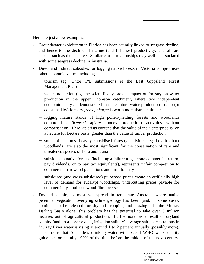Here are just a few examples:

- Groundwater exploitation in Florida has been causally linked to seagrass decline, and hence to the decline of marine (and fisheries) productivity, and of rare species such as the manatee. Similar causal relationships may well be associated with some seagrass decline in Australia.
- Direct and indirect subsidies for logging native forests in Victoria compromises other economic values including
	- − tourism (eg. Ontos P/L submissions re the East Gippsland Forest Management Plan)
	- − water production (eg. the scientifically proven impact of forestry on water production in the upper Thomson catchment, where two independent economic analyses demonstrated that the future water production lost to (or consumed by) forestry *free of charge* is worth more than the timber.
	- − logging mature stands of high pollen-yielding forests and woodlands compromises *licensed* apiary (honey production) activities without compensation. Here, apiarists contend that the value of their enterprise is, on a hectare for hectare basis, greater than the value of timber production
	- − some of the most heavily subsidised forestry activities (eg. box ironbark woodlands) are also the most significant for the conservation of rare and threatened species of flora and fauna
	- − subsidies in native forests, (including a failure to generate commercial return, pay dividends, or to pay tax equivalents), represents unfair competition to commercial hardwood plantations and farm forestry
	- − subsidised (and cross-subsidised) pulpwood prices create an artificially high level of demand for eucalypt woodchips, undercutting prices payable for commercially-produced wood fibre overseas.
- Dryland salinity is most widespread in temperate Australia where native perennial vegetation overlying saline geology has been (and, in some cases, continues to be) cleared for dryland cropping and grazing. In the Murray Darling Basin alone, this problem has the potential to take over 5 million hectares out of agricultural production. Furthermore, as a result of dryland salinity (and, to a lesser extent, irrigation salinity), average salt concentrations in Murray River water is rising at around 1 to 2 percent annually (possibly more). This means that Adelaide's drinking water will exceed WHO water quality guidelines on salinity 100% of the time before the middle of the next century.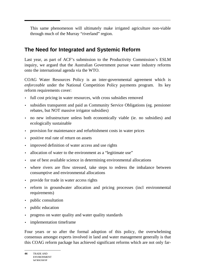This same phenomenon will ultimately make irrigated agriculture non-viable through much of the Murray "riverland" region.

## **The Need for Integrated and Systemic Reform**

Last year, as part of ACF's submission to the Productivity Commission's ESLM inquiry, we argued that the Australian Government pursue water industry reforms onto the international agenda via the WTO.

COAG Water Resources Policy is an inter-governmental agreement which is *enforceable* under the National Competition Policy payments program. Its key reform requirements cover:

- full cost pricing in water resources, with cross subsidies removed
- subsidies transparent and paid as Community Service Obligations (eg. pensioner rebates, but NOT massive irrigator subsidies)
- no new infrastructure unless both economically viable (ie. no subsidies) and ecologically sustainable
- provision for maintenance and refurbishment costs in water prices
- positive real rate of return on assets
- improved definition of water access and use rights
- allocation of water to the environment as a "legitimate use"
- use of best available science in determining environmental allocations
- where rivers are flow stressed, take steps to redress the imbalance between consumptive and environmental allocations
- provide for trade in water access rights
- reform in groundwater allocation and pricing processes (incl environmental requirements)
- public consultation
- public education
- progress on water quality and water quality standards
- implementation timeframe

Four years or so after the formal adoption of this policy, the overwhelming consensus amongst experts involved in land and water management generally is that this COAG reform package has achieved significant reforms which are not only far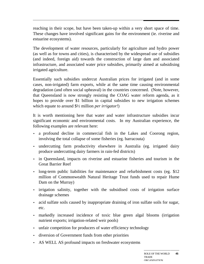reaching in their scope, but have been taken-up within a very short space of time. These changes have involved significant gains for the environment (ie. riverine and estuarine ecosystems).

The development of water resources, particularly for agriculture and hydro power (as well as for towns and cities), is characterised by the widespread use of subsidies (and indeed, foreign aid) towards the construction of large dam and associated infrastructure, and associated water price subsidies, primarily aimed at subsidising irrigated agriculture.

Essentially such subsidies undercut Australian prices for irrigated (and in some cases, non-irrigated) farm exports, while at the same time causing environmental degradation (and often social upheaval) in the countries concerned. (Note, however, that Queensland is now strongly resisting the COAG water reform agenda, as it hopes to provide over \$1 billion in capital subsidies to new irrigation schemes which equate to around \$½ million *per irrigator!*)

It is worth mentioning here that water and water infrastructure subsidies incur significant economic and environmental costs. In my Australian experience, the following examples are relevant here:

- a profound decline in commercial fish in the Lakes and Coorong region, involving the total collapse of some fisheries (eg. barracouta)
- undercutting farm productivity elsewhere in Australia (eg. irrigated dairy produce undercutting dairy farmers in rain-fed districts)
- in Queensland, impacts on riverine and estuarine fisheries and tourism in the Great Barrier Reef
- long-term public liabilities for maintenance and refurbishment costs (eg. \$12) million of Commonwealth Natural Heritage Trust funds used to repair Hume Dam on the Murray)
- irrigation salinity, together with the subsidised costs of irrigation surface drainage schemes
- acid sulfate soils caused by inappropriate draining of iron sulfate soils for sugar, etc.
- markedly increased incidence of toxic blue green algal blooms (irrigation nutrient exports; irrigation-related weir pools)
- unfair competition for producers of water efficiency technology
- diversion of Government funds from other priorities
- AS WELL AS profound impacts on freshwater ecosystems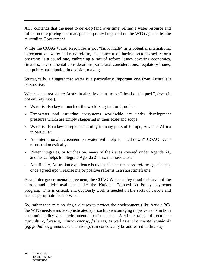ACF contends that the need to develop (and over time, refine) a water resource and infrastructure pricing and management policy be placed on the WTO agenda by the Australian Government.

While the COAG Water Resources is not "tailor made" as a potential international agreement on water industry reform, the concept of having sector-based reform programs is a sound one, embracing a raft of reform issues covering economics, finances, environmental considerations, structural considerations, regulatory issues, and public participation in decision-making.

Strategically, I suggest that water is a particularly important one from Australia's perspective.

Water is an area where Australia already claims to be "ahead of the pack", (even if not entirely true!).

- Water is also key to much of the world's agricultural produce.
- Freshwater and estuarine ecosystems worldwide are under development pressures which are simply staggering in their scale and scope.
- Water is also a key to regional stability in many parts of Europe, Asia and Africa in particular.
- An international agreement on water will help to "bed-down" COAG water reforms domestically.
- Water integrates, or touches on, many of the issues covered under Agenda 21, and hence helps to integrate Agenda 21 into the trade arena.
- And finally, Australian experience is that such a sector-based reform agenda can, once agreed upon, realise major positive reforms in a short timeframe.

As an inter-governmental agreement, the COAG Water policy is subject to all of the carrots and sticks available under the National Competition Policy payments program. This is critical, and obviously work is needed on the sorts of carrots and sticks appropriate for the WTO.

So, rather than rely on single clauses to protect the environment (like Article 20), the WTO needs a more sophisticated approach to encouraging improvements in both economic policy and environmental performance. A whole range of sectors – *agriculture, forestry, mining, energy, fisheries,* as well as *environmental standards* (eg. *pollution; greenhouse* emissions), can conceivably be addressed in this way.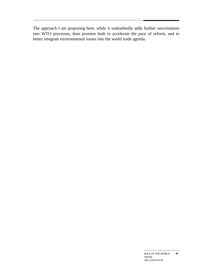The approach I am proposing here, while it undoubtedly adds further uncertainties into WTO processes, does promise both to accelerate the pace of reform, and to better integrate environmental issues into the world trade agenda.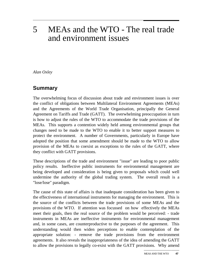# 5 MEAs and the WTO - The real trade and environment issues

*Alan Oxley*

### **Summary**

The overwhelming focus of discussion about trade and environment issues is over the conflict of obligations between Multilateral Environment Agreements (MEAs) and the Agreements of the World Trade Organisation, principally the General Agreement on Tariffs and Trade (GATT). The overwhelming preoccupation in turn is how to adjust the rules of the WTO to accommodate the trade provisions of the MEAs. This supports a contention widely held among environmental groups that changes need to be made to the WTO to enable it to better support measures to protect the environment. A number of Governments, particularly in Europe have adopted the position that some amendment should be made to the WTO to allow provision of the MEAs to coexist as exceptions to the rules of the GATT, where they conflict with GATT provisions.

These descriptions of the trade and environment "issue" are leading to poor public policy results. Ineffective public instruments for environmental management are being developed and consideration is being given to proposals which could well undermine the authority of the global trading system. The overall result is a "lose/lose" paradigm.

The cause of this state of affairs is that inadequate consideration has been given to the effectiveness of international instruments for managing the environment. This is the source of the conflicts between the trade provisions of some MEAs and the provisions of the WTO. If attention was focussed on how effectively the MEAs meet their goals, then the real source of the problem would be perceived: - trade instruments in MEAs are ineffective instruments for environmental management and, in some cases, are counterproductive to the purposes of the agreement. This understanding would then widen perceptions to enable contemplation of the appropriate solution: - remove the trade provisions from the environment agreements. It also reveals the inappropriateness of the idea of amending the GATT to allow the provisions to legally co-exist with the GATT provisions. Why amend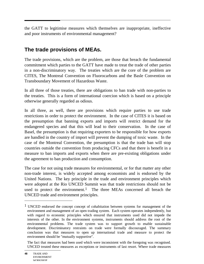the GATT to legitimise measures which themselves are inappropriate, ineffective and poor instruments of environmental management?

## **The trade provisions of MEAs.**

The trade provisions, which are the problem, are those that breach the fundamental commitment which parties to the GATT have made to treat the trade of other parties in a non-discriminatory way. The treaties which are the core of the problem are CITES, The Montreal Convention on Fluorocarbons and the Basle Convention on Transboundary Movement of Hazardous Waste.

In all three of those treaties, there are obligations to ban trade with non-parties to the treaties. This is a form of international coercion which is based on a principle otherwise generally regarded as odious.

In all three, as well, there are provisions which require parties to use trade restrictions in order to protect the environment. In the case of CITES it is based on the presumption that banning exports and imports will restrict demand for the endangered species and that this will lead to their conservation. In the case of Basel, the presumption is that requiring exporters to be responsible for how exports are handled in the country of import will prevent the dumping of toxic waste. In the case of the Montreal Convention, the presumption is that the trade ban will stop countries outside the convention from producing CFCs and that there is benefit in a measure to ban imports and exports when there are pre-existing obligations under the agreement to ban production and consumption.

The case for not using trade measures for environmental, or for that matter any other non-trade interest, is widely accepted among economists and is endorsed by the United Nations. The key principle in the trade and environment principles which were adopted at the Rio UNCED Summit was that trade restrictions should not be used to protect the environment.<sup>1</sup> The three MEAs concerned all breach the UNCED trade and environment principles.

 $\overline{a}$ 

<sup>&</sup>lt;sup>1</sup> UNCED endorsed the concept concept of cohabitation between systems for management of the environment and management of an open trading system. Each system operates independently, but with regard to economic principles which ensured that instruments used did not impede the interests of the other. In the environment systems, instruments should address the root of the environmental problems. The trade system was to support growth to enable sustainable development. Discriminatory restraints on trade were formally discouraged. The summary conclusion was that measures to open up international trade and measure to protect the environment should be "mutually supportive".

The fact that measures had been used which were inconsistent with the foregoing was recognised. UNCED treated these measures as exceptions or instruments of last resort. Where trade measures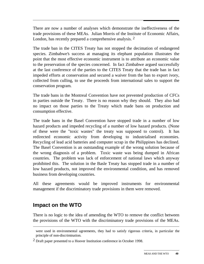There are now a number of analyses which demonstrate the ineffectiveness of the trade provisions of these MEAs. Julian Morris of the Institute of Economic Affairs, London, has recently prepared a comprehensive analysis. <sup>2</sup>

The trade ban in the CITES Treaty has not stopped the decimation of endangered species. Zimbabwe's success at managing its elephant population illustrates the point that the most effective economic instrument is to attribute an economic value to the preservation of the species concerned. In fact Zimbabwe argued successfully at the last conference of the parties to the CITES Treaty that the trade ban in fact impeded efforts at conservation and secured a waiver from the ban to export ivory, collected from culling, to use the proceeds from international sales to support the conservation program.

The trade bans in the Montreal Convention have not prevented production of CFCs in parties outside the Treaty. There is no reason why they should. They also had no impact on those parties to the Treaty which made bans on production and consumption effective.

The trade bans in the Basel Convention have stopped trade in a number of low hazard products and impeded recycling of a number of low hazard products. (None of these were the "toxic wastes" the treaty was supposed to control). It has redirected economic activity from developing to industrialised economies. Recycling of lead acid batteries and computer scrap in the Philippines has declined. The Basel Convention is an outstanding example of the wrong solution because of the wrong diagnosis of a problem. Toxic waste was being dumped in African countries. The problem was lack of enforcement of national laws which anyway prohibited this. The solution in the Basle Treaty has stopped trade in a number of low hazard products, not improved the environmental condition, and has removed business from developing countries.

All these agreements would be improved instruments for environmental management if the discriminatory trade provisions in them were removed.

## **Impact on the WTO**

 $\overline{a}$ 

There is no logic to the idea of amending the WTO to remove the conflict between the provisions of the WTO with the discriminatory trade provisions of the MEAs.

were used in environmental agreements, they had to satisfy rigorous criteria, in particular the principle of non-discrimination.

<sup>2</sup> Draft paper presented to a Hoover Institution conference in October 1998.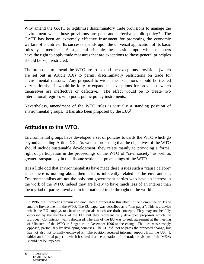Why amend the GATT to legitimise discriminatory trade provisions to manage the environment when those provisions are poor and defective public policy? The GATT has been an extremely effective instrument for promoting the economic welfare of countries. Its success depends upon the universal application of its basic rules by its members. As a general principle, the occasions upon which members have the right to apply trade measures that are exceptions to those general principles should be kept restricted.

The proposals to amend the WTO are to expand the exceptions provisions (which are set out in Article XX) to permit discriminatory restrictions on trade for environmental reasons. Any proposal to widen the exceptions should be treated very seriously. It would be folly to expand the exceptions for provisions which themselves are ineffective or defective. The effect would be to create two international regimes with poor, public policy instruments.

Nevertheless, amendment of the WTO rules is virtually a standing position of environmental groups. It has also been proposed by the EU.<sup>3</sup>

## **Attitudes to the WTO.**

Environmental groups have developed a set of policies towards the WTO which go beyond amending Article XX. As well as proposing that the objectives of the WTO should include sustainable development, they relate mainly to providing a formal right of participation in the proceedings of the WTO of "civil society" as well as greater transparency in the dispute settlement proceedings of the WTO.

It is a little odd that environmentalists have made these issues such a "cause celebre" since there is nothing about them that is inherently related to the environment. Environmentalists are not the only non-government parties who have an interest in the work of the WTO, indeed they are likely to have much less of an interest than the myriad of parties involved in international trade throughout the world.

**50** TRADE AND ENVIRONMENT **WORKSHOP** 

 $\overline{a}$ 

 $3$  In 1996, the European Commission circulated a proposal to this effect in the Committee on Trade and the Environment in the WTO. The EU paper was described as a "non-paper". This is a device which the EU employs to circulate proposals which are draft concepts. They may not be fully endorsed by the members of the EU, but they represent fully developed proposals which the European Commission wants discussed. The aim of the EU was to seek agreement at the meeting of Ministers of the WTO in Singapore in December 1996 to the change. The idea was strongly opposed, particularly by developing countries. The EU did not to press the proposed change, but has not also not formally eschewed it. The position received informal support from the US. It tabled an informal paper in which it stated that the operation of the trade provisions of the MEAs should not be impeded.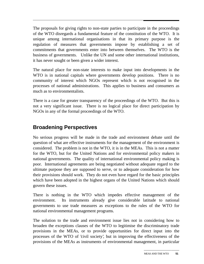The proposals for giving rights to non-state parties to participate in the proceedings of the WTO disregards a fundamental feature of the constitution of the WTO. It is unique among international organisations in that its primary purpose is the regulation of measures that governments impose by establishing a set of commitments that governments enter into between themselves. The WTO is the business of governments. Unlike the UN and some other international institutions, it has never sought or been given a wider interest.

The natural place for non-state interests to make input into developments in the WTO is in national capitals where governments develop positions. There is no community of interest which NGOs represent which is not recognised in the processes of national administrations. This applies to business and consumers as much as to environmentalists.

There is a case for greater transparency of the proceedings of the WTO. But this is not a very significant issue. There is no logical place for direct participation by NGOs in any of the formal proceedings of the WTO.

## **Broadening Perspectives**

No serious progress will be made in the trade and environment debate until the question of what are effective instruments for the management of the environment is considered. The problem is not in the WTO, it is in the MEAs. This is not a matter for the WTO, but for the United Nations and for environmental policy makers in national governments. The quality of international environmental policy making is poor. International agreements are being negotiated without adequate regard to the ultimate purpose they are supposed to serve, or to adequate consideration for how their provisions should work. They do not even have regard for the basic principles which have been adopted in the highest organs of the United Nations which should govern these issues.

There is nothing in the WTO which impedes effective management of the environment. Its instruments already give considerable latitude to national governments to use trade measures as exceptions to the rules of the WTO for national environmental management programs.

The solution to the trade and environment issue lies not in considering how to broaden the exceptions clauses of the WTO to legitimise the discriminatory trade provisions in the MEAs, or to provide opportunities for direct input into the processes of the WTO of 'civil society', but in improving the effectiveness of the provisions of the MEAs as instruments of environmental management, in particular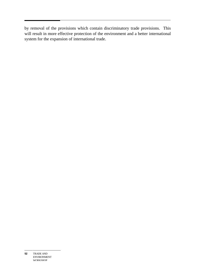by removal of the provisions which contain discriminatory trade provisions. This will result in more effective protection of the environment and a better international system for the expansion of international trade.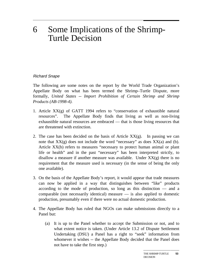# 6 Some Implications of the Shrimp-Turtle Decision

#### Richard Snape

The following are some notes on the report by the World Trade Organization's Appellate Body on what has been termed the Shrimp–Turtle Dispute, more formally, *United States -- Import Prohibition of Certain Shrimp and Shrimp Products (AB-1998-4).*

- 1. Article XX(g) of GATT 1994 refers to "conservation of exhaustible natural resources". The Appellate Body finds that living as well as non-living exhaustible natural resources are embraced — that is those living resources that are threatened with extinction.
- 2. The case has been decided on the basis of Article  $XX(g)$ . In passing we can note that  $XX(g)$  does not include the word "necessary" as does  $XX(a)$  and (b). Article XX(b) refers to measures "necessary to protect human animal or plant life or health" and in the past "necessary" has been interpreted strictly, to disallow a measure if another measure was available. Under  $XX(g)$  there is no requirement that the measure used is necessary (in the sense of being the only one available).
- 3. On the basis of the Appellate Body's report, it would appear that trade measures can now be applied in a way that distinguishes between "like" products according to the mode of production, so long as this distinction — and a comparable (not necessarily identical) measure — is also applied to domestic production, presumably even if there were no actual domestic production.
- 4. The Appellate Body has ruled that NGOs can make submissions directly to a Panel but:
	- (a) It is up to the Panel whether to accept the Submission or not, and to what extent notice is taken. (Under Article 13.2 of Dispute Settlement Undertaking (DSU) a Panel has a right to "seek" information from whomever it wishes -- the Appellate Body decided that the Panel does not have to take the first step.)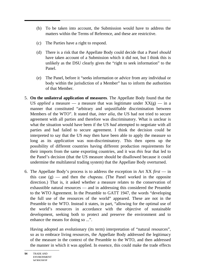- (b) To be taken into account, the Submission would have to address the matters within the Terms of Reference, and these are restrictive.
- (c) The Parties have a right to respond.
- (d) There is a risk that the Appellate Body could decide that a Panel *should* have taken account of a Submission which it did not, but I think this is unlikely as the DSU clearly gives the "right to seek information" to the Panel.
- (e) The Panel, before it "seeks information or advice from any individual or body within the jurisdiction of a Member" has to inform the authorities of that Member.
- 5. **On the unilateral application of measures**. The Appellate Body found that the US *applied* a measure — a measure that was legitimate under  $XX(g)$  — in a manner that constituted "arbitrary and unjustifiable discrimination between Members of the WTO". It stated that, *inter alia*, the US had not tried to secure agreement with all parties and therefore was discriminatory. What is unclear is what the situation would have been if the US *had* attempted to negotiate with all parties and had failed to secure agreement. I think the decision could be interpreted to say that the US *may* then have been able to apply the measure so long as its *application* was non-discriminatory. This then opens up the possibility of different countries having different production requirements for their imports from the same exporting countries, and it was *this* fear that led to the Panel's decision (that the US measure should be disallowed because it could undermine the multilateral trading system) that the Appellate Body overturned.
- 6. The Appellate Body's process is to address the exception in Art XX *first* in this case (g) — and then the *chapeau*. (The Panel worked in the opposite direction.) That is, it asked whether a measure relates to the conservation of exhaustible natural resources — and in addressing this considered the Preamble to the WTO Agreement. In the Preamble to GATT 1947, the words "developing the full use of the resources of the world" appeared. These are not in the Preamble to the WTO. Instead it states, in part, "allowing for the optimal use of the world's resources in accordance with the objective of sustainable development, seeking both to protect and preserve the environment and to enhance the means for doing so ...".

Having adopted an evolutionary (its term) interpretation of "natural resources", so as to embrace living resources, the Appellate Body addressed the legitimacy of the measure in the context of the Preamble to the WTO, and then addressed the manner in which it was applied. In essence, this could make the trade effects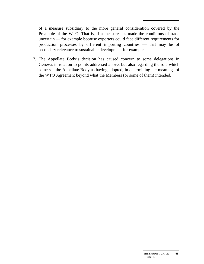of a measure subsidiary to the more general consideration covered by the Preamble of the WTO. That is, if a measure has made the conditions of trade uncertain — for example because exporters could face different requirements for production processes by different importing countries — that may be of secondary relevance to sustainable development for example.

7. The Appellate Body's decision has caused concern to some delegations in Geneva, in relation to points addressed above, but also regarding the role which some see the Appellate Body as having adopted, in determining the meanings of the WTO Agreement beyond what the Members (or some of them) intended.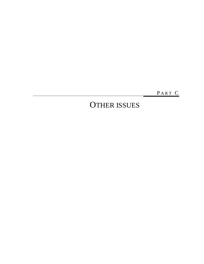PART C

# OTHER ISSUES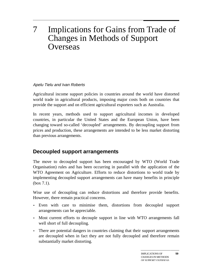# 7 Implications for Gains from Trade of Changes in Methods of Support **Overseas**

### Apelu Tielu and Ivan Roberts

Agricultural income support policies in countries around the world have distorted world trade in agricultural products, imposing major costs both on countries that provide the support and on efficient agricultural exporters such as Australia.

In recent years, methods used to support agricultural incomes in developed countries, in particular the United States and the European Union, have been changing toward so-called 'decoupled' arrangements. By decoupling support from prices and production, these arrangements are intended to be less market distorting than previous arrangements.

## **Decoupled support arrangements**

The move to decoupled support has been encouraged by WTO (World Trade Organisation) rules and has been occurring in parallel with the application of the WTO Agreement on Agriculture. Efforts to reduce distortions to world trade by implementing decoupled support arrangements can have many benefits in principle (box 7.1).

Wise use of decoupling can reduce distortions and therefore provide benefits. However, there remain practical concerns.

- Even with care to minimise them, distortions from decoupled support arrangements can be appreciable.
- Most current efforts to decouple support in line with WTO arrangements fall well short of full decoupling.
- There are potential dangers in countries claiming that their support arrangements are decoupled when in fact they are not fully decoupled and therefore remain substantially market distorting.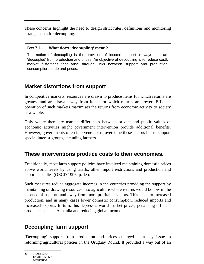These concerns highlight the need to design strict rules, definitions and monitoring arrangements for decoupling.

#### Box 7**.**1 **What does 'decoupling' mean?**

The notion of decoupling is the provision of income support in ways that are 'decoupled' from production and prices. An objective of decoupling is to reduce costly market distortions that arise through links between support and production, consumption, trade and prices.

## **Market distortions from support**

In competitive markets, resources are drawn to produce items for which returns are greatest and are drawn away from items for which returns are lower. Efficient operation of such markets maximises the returns from economic activity to society as a whole.

Only where there are marked differences between private and public values of economic activities might government intervention provide additional benefits. However, governments often intervene not to overcome these factors but to support special interest groups, including farmers.

## **These interventions produce costs to their economies.**

Traditionally, most farm support policies have involved maintaining domestic prices above world levels by using tariffs, other import restrictions and production and export subsidies (OECD 1996, p. 13).

Such measures reduce aggregate incomes in the countries providing the support by maintaining or drawing resources into agriculture where returns would be low in the absence of support, and away from more profitable sectors. This leads to increased production, and in many cases lower domestic consumption, reduced imports and increased exports. In turn, this depresses world market prices, penalising efficient producers such as Australia and reducing global income.

# **Decoupling farm support**

'Decoupling' support from production and prices emerged as a key issue in reforming agricultural policies in the Uruguay Round. It provided a way out of an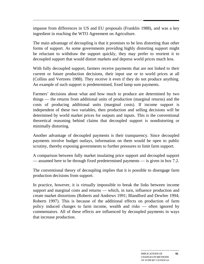impasse from differences in US and EU proposals (Franklin 1988), and was a key ingredient in reaching the WTO Agreement on Agriculture.

The main advantage of decoupling is that it promises to be less distorting than other forms of support. As some governments providing highly distorting support might be reluctant to withdraw the support quickly, they may prefer to reorient it to decoupled support that would distort markets and depress world prices much less.

With fully decoupled support, farmers receive payments that are not linked to their current or future production decisions, their input use or to world prices at all (Collins and Vertrees 1988). They receive it even if they do not produce anything. An example of such support is predetermined, fixed lump sum payments.

Farmers' decisions about what and how much to produce are determined by two things — the returns from additional units of production (marginal returns) and the costs of producing additional units (marginal costs). If income support is independent of these two variables, then production and selling decisions will be determined by world market prices for outputs and inputs. This is the conventional theoretical reasoning behind claims that decoupled support is nondistorting or minimally distorting.

Another advantage of decoupled payments is their transparency. Since decoupled payments involve budget outlays, information on them would be open to public scrutiny, thereby exposing governments to further pressures to limit farm support.

A comparison between fully market insulating price support and decoupled support — assumed here to be through fixed predetermined payments — is given in box 7.2.

The conventional theory of decoupling implies that it is possible to disengage farm production decisions from support.

In practice, however, it is virtually impossible to break the links between income support and marginal costs and returns — which, in turn, influence production and create market distortions (Roberts and Andrews 1991; Blandford and Dewbre 1994; Roberts 1997). This is because of the additional effects on production of farm policy induced changes to farm income, wealth and risks — often ignored by commentators. All of these effects are influenced by decoupled payments in ways that increase production.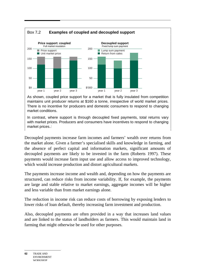

As shown, coupled price support for a market that is fully insulated from competition maintains unit producer returns at \$160 a tonne, irrespective of world market prices. There is no incentive for producers and domestic consumers to respond to changing market conditions.

In contrast, where support is through decoupled fixed payments, total returns vary with market prices. Producers and consumers have incentives to respond to changing market prices.:

Decoupled payments increase farm incomes and farmers' wealth over returns from the market alone. Given a farmer's specialised skills and knowledge in farming, and the absence of perfect capital and information markets, significant amounts of decoupled payments are likely to be invested in the farm (Roberts 1997). These payments would increase farm input use and allow access to improved technology, which would increase production and distort agricultural markets.

The payments increase income and wealth and, depending on how the payments are structured, can reduce risks from income variability. If, for example, the payments are large and stable relative to market earnings, aggregate incomes will be higher and less variable than from market earnings alone.

The reduction in income risk can reduce costs of borrowing by exposing lenders to lower risks of loan default, thereby increasing farm investment and production.

Also, decoupled payments are often provided in a way that increases land values and are linked to the status of landholders as farmers. This would maintain land in farming that might otherwise be used for other purposes.

**62** TRADE AND ENVIRONMENT **WORKSHOP**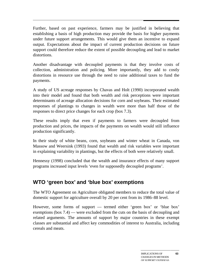Further, based on past experience, farmers may be justified in believing that establishing a basis of high production may provide the basis for higher payments under future support arrangements. This would give them an incentive to expand output. Expectations about the impact of current production decisions on future support could therefore reduce the extent of possible decoupling and lead to market distortions.

Another disadvantage with decoupled payments is that they involve costs of collection, administration and policing. More importantly, they add to costly distortions in resource use through the need to raise additional taxes to fund the payments.

A study of US acreage responses by Chavas and Holt (1990) incorporated wealth into their model and found that both wealth and risk perceptions were important determinants of acreage allocation decisions for corn and soybeans. Their estimated responses of plantings to changes in wealth were more than half those of the responses to direct price changes for each crop (box 7.3).

These results imply that even if payments to farmers were decoupled from production and prices, the impacts of the payments on wealth would still influence production significantly.

In their study of white beans, corn, soybeans and winter wheat in Canada, von Massow and Weersink (1993) found that wealth and risk variables were important in explaining variability in plantings, but the effects of both were relatively small.

Hennessy (1998) concluded that the wealth and insurance effects of many support programs increased input levels 'even for supposedly decoupled programs'.

## **WTO 'green box' and 'blue box' exemptions**

The WTO Agreement on Agriculture obligated members to reduce the total value of domestic support for agriculture overall by 20 per cent from its 1986–88 level.

However, some forms of support — termed either 'green box' or 'blue box' exemptions (box 7.4) — were excluded from the cuts on the basis of decoupling and related arguments. The amounts of support by major countries in these exempt classes are substantial and affect key commodities of interest to Australia, including cereals and meats.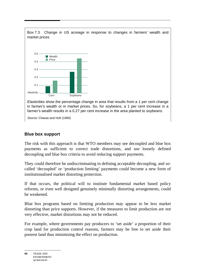

### **Blue box support**

The risk with this approach is that WTO members may see decoupled and blue box payments as sufficient to correct trade distortions, and use loosely defined decoupling and blue box criteria to avoid reducing support payments.

They could therefore be undiscriminating in defining acceptable decoupling, and socalled 'decoupled' or 'production limiting' payments could become a new form of institutionalised market distorting protection.

If that occurs, the political will to institute fundamental market based policy reforms, or even well designed genuinely minimally distorting arrangements, could be weakened.

Blue box programs based on limiting production may appear to be less market distorting than price supports. However, if the measures to limit production are not very effective, market distortions may not be reduced.

For example, where governments pay producers to 'set aside' a proportion of their crop land for production control reasons, farmers may be free to set aside their poorest land thus minimising the effect on production.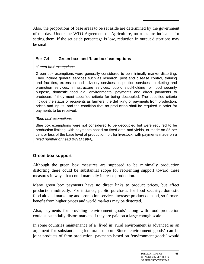Also, the proportions of base areas to be set aside are determined by the government of the day. Under the WTO Agreement on Agriculture, no rules are indicated for setting them. If the set aside percentage is low, reduction in output distortions may be small.

#### Box 7**.**4 **'Green box' and 'blue box' exemptions**

#### 'Green box' exemptions

Green box exemptions were generally considered to be minimally market distorting. They include general services such as research, pest and disease control, training and facilities, extension and advisory services, inspection services, marketing and promotion services, infrastructure services, public stockholding for food security purpose, domestic food aid, environmental payments and direct payments to producers if they meet specified criteria for being decoupled. The specified criteria include the status of recipients as farmers, the delinking of payments from production, prices and inputs, and the condition that no production shall be required in order for payments to be received.

#### 'Blue box' exemptions

Blue box exemptions were not considered to be decoupled but were required to be production limiting, with payments based on fixed area and yields, or made on 85 per cent or less of the base level of production, or, for livestock, with payments made on a fixed number of head (WTO 1994).

### **Green box support**

Although the green box measures are supposed to be minimally production distorting there could be substantial scope for reorienting support toward these measures in ways that could markedly increase production.

Many green box payments have no direct links to product prices, but affect production indirectly. For instance, public purchases for food security, domestic food aid and marketing and promotion services increase product demand, so farmers benefit from higher prices and world markets may be distorted.

Also, payments for providing 'environment goods' along with food production could substantially distort markets if they are paid on a large enough scale.

In some countries maintenance of a 'lived in' rural environment is advanced as an argument for substantial agricultural support. Since 'environment goods' can be joint products of farm production, payments based on 'environment goods' would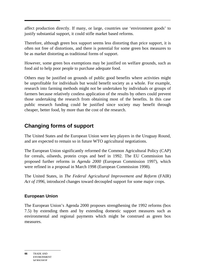affect production directly. If many, or large, countries use 'environment goods' to justify substantial support, it could stifle market based reforms.

Therefore, although green box support seems less distorting than price support, it is often not free of distortions, and there is potential for some green box measures to be as market distorting as traditional forms of support.

However, some green box exemptions may be justified on welfare grounds, such as food aid to help poor people to purchase adequate food.

Others may be justified on grounds of public good benefits where activities might be unprofitable for individuals but would benefit society as a whole. For example, research into farming methods might not be undertaken by individuals or groups of farmers because relatively costless application of the results by others could prevent those undertaking the research from obtaining most of the benefits. In this case public research funding could be justified since society may benefit through cheaper, better food, by more than the cost of the research.

## **Changing forms of support**

The United States and the European Union were key players in the Uruguay Round, and are expected to remain so in future WTO agricultural negotiations.

The European Union significantly reformed the Common Agricultural Policy (CAP) for cereals, oilseeds, protein crops and beef in 1992. The EU Commission has proposed further reforms in *Agenda 2000* (European Commission 1997), which were refined in a proposal in March 1998 (European Commission 1998).

The United States, in *The Federal Agricultural Improvement and Reform* (FAIR) *Act of 1996*, introduced changes toward decoupled support for some major crops.

### **European Union**

The European Union's Agenda 2000 proposes strengthening the 1992 reforms (box 7.5) by extending them and by extending domestic support measures such as environmental and regional payments which might be construed as green box measures.

**<sup>66</sup>** TRADE AND ENVIRONMENT **WORKSHOP**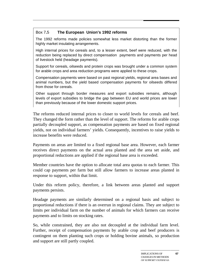#### Box 7**.**5 **The European Union's 1992 reforms**

The 1992 reforms made policies somewhat less market distorting than the former highly market insulating arrangements.

High internal prices for cereals and, to a lesser extent, beef were reduced, with the reduction being replaced by direct compensation payments and payments per head of livestock held (headage payments).

Support for cereals, oilseeds and protein crops was brought under a common system for arable crops and area reduction programs were applied to these crops.

Compensation payments were based on past regional yields, regional area bases and animal numbers, but the yield based compensation payments for oilseeds differed from those for cereals.

Other support through border measures and export subsidies remains, although levels of export subsidies to bridge the gap between EU and world prices are lower than previously because of the lower domestic support prices.

The reforms reduced internal prices to closer to world levels for cereals and beef. They changed the form rather than the level of support. The reforms for arable crops partially decoupled support, as compensation payments are based on fixed regional yields, not on individual farmers' yields. Consequently, incentives to raise yields to increase benefits were reduced.

Payments on areas are limited to a fixed regional base area. However, each farmer receives direct payments on the actual area planted and the area set aside, and proportional reductions are applied if the regional base area is exceeded.

Member countries have the option to allocate total area quotas to each farmer. This could cap payments per farm but still allow farmers to increase areas planted in response to support, within that limit.

Under this reform policy, therefore, a link between areas planted and support payments persists.

Headage payments are similarly determined on a regional basis and subject to proportional reductions if there is an overrun in regional claims. They are subject to limits per individual farm on the number of animals for which farmers can receive payments and to limits on stocking rates.

So, while constrained, they are also not decoupled at the individual farm level. Further, receipt of compensation payments by arable crop and beef producers is contingent on them planting such crops or holding bovine animals, so production and support are still partly coupled.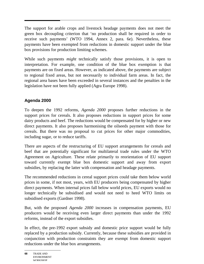The support for arable crops and livestock headage payments does not meet the green box decoupling criterion that 'no production shall be required in order to receive such payments' (WTO 1994, Annex 2, para. 6e). Nevertheless, these payments have been exempted from reductions in domestic support under the blue box provisions for production limiting schemes.

While such payments *might* technically satisfy those provisions, it is open to interpretation. For example, one condition of the blue box exemption is that payments are on fixed areas. However, as indicated above, the payments are subject to regional fixed areas, but not necessarily to individual farm areas. In fact, the regional area bases have been exceeded in several instances and the penalties in the legislation have not been fully applied (Agra Europe 1998).

### **Agenda 2000**

To deepen the 1992 reforms, *Agenda 2000* proposes further reductions in the support prices for cereals. It also proposes reductions in support prices for some dairy products and beef. The reductions would be compensated for by higher or new direct payments. It also proposes harmonising the oilseeds payment with those for cereals. But there was no proposal to cut prices for other major commodities, including sugar, or to reduce tariffs.

There are aspects of the restructuring of EU support arrangements for cereals and beef that are potentially significant for multilateral trade rules under the WTO Agreement on Agriculture. These relate primarily to reorientation of EU support toward currently exempt blue box domestic support and away from export subsidies, by replacing the latter with compensation and headage payments.

The recommended reductions in cereal support prices could take them below world prices in some, if not most, years, with EU producers being compensated by higher direct payments. When internal prices fall below world prices, EU exports would no longer technically be subsidised and would not need to heed WTO limits on subsidised exports (Gardner 1998).

But, with the proposed *Agenda 2000* increases in compensation payments, EU producers would be receiving even larger direct payments than under the 1992 reforms, instead of the export subsidies.

In effect, the pre-1992 export subsidy and domestic price support would be fully replaced by a production subsidy. Currently, because these subsidies are provided in conjunction with production constraints they are exempt from domestic support reductions under the blue box arrangements.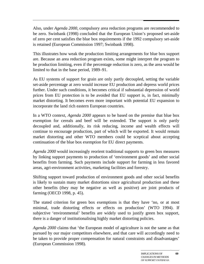Also, under *Agenda 2000*, compulsory area reduction programs are recommended to be zero. Swinbank (1998) concluded that the European Union's proposed set-aside of zero per cent satisfies the blue box requirements if the 1992 compulsory set-aside is retained (European Commission 1997; Swinbank 1998).

This illustrates how weak the production limiting arrangements for blue box support are. Because an area reduction program exists, some might interpret the program to be production limiting, even if the percentage reduction is zero, as the area would be limited to that in the base period, 1989–91.

As EU systems of support for grain are only partly decoupled, setting the variable set-aside percentage at zero would increase EU production and depress world prices further. Under such conditions, it becomes critical if substantial depression of world prices from EU protection is to be avoided that EU support is, in fact, minimally market distorting. It becomes even more important with potential EU expansion to incorporate the land rich eastern European countries.

In a WTO context, *Agenda 2000* appears to be based on the premise that blue box exemption for cereals and beef will be extended. The support is only partly decoupled and, additionally, its risk reducing, income and wealth effects will continue to encourage production, part of which will be exported. It would remain market distorting and other WTO members could be sceptical about accepting continuation of the blue box exemption for EU direct payments.

*Agenda 2000* would increasingly reorient traditional supports to green box measures by linking support payments to production of 'environment goods' and other social benefits from farming. Such payments include support for farming in less favored areas, agri-environment activities, marketing facilities and forestry.

Shifting support toward production of environment goods and other social benefits is likely to sustain many market distortions since agricultural production and these other benefits (they may be negative as well as positive) are joint products of farming (OECD 1998, p. 45).

The stated criterion for green box exemptions is that they have 'no, or at most minimal, trade distorting effects or effects on production' (WTO 1994). If subjective 'environmental' benefits are widely used to justify green box support, there is a danger of institutionalising highly market distorting policies.

*Agenda 2000* claims that 'the European model of agriculture is not the same as that pursued by our major competitors elsewhere, and that care will accordingly need to be taken to provide proper compensation for natural constraints and disadvantages' (European Commission 1998).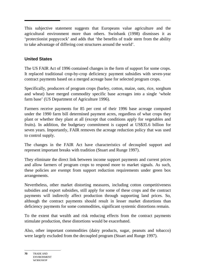This subjective statement suggests that Europeans value agriculture and the agricultural environment more than others. Swinbank (1998) dismisses it as 'protectionist poppycock' and adds that 'the benefits of trade stem from the ability to take advantage of differing cost structures around the world'.

#### **United States**

The US FAIR Act of 1996 contained changes in the form of support for some crops. It replaced traditional crop-by-crop deficiency payment subsidies with seven-year contract payments based on a merged acreage base for selected program crops.

Specifically, producers of program crops (barley, cotton, maize, oats, rice, sorghum and wheat) have merged commodity specific base acreages into a single 'whole farm base' (US Department of Agriculture 1996).

Farmers receive payments for 85 per cent of their 1996 base acreage computed under the 1990 farm bill determined payment acres, regardless of what crops they plant or whether they plant at all (except that conditions apply for vegetables and fruits). In addition, the budgetary commitment is capped at US\$35.6 billion for seven years. Importantly, FAIR removes the acreage reduction policy that was used to control supply.

The changes in the FAIR Act have characteristics of decoupled support and represent important breaks with tradition (Stuart and Runge 1997).

They eliminate the direct link between income support payments and current prices and allow farmers of program crops to respond more to market signals. As such, these policies are exempt from support reduction requirements under green box arrangements.

Nevertheless, other market distorting measures, including cotton competitiveness subsidies and export subsidies, still apply for some of these crops and the contract payments will indirectly affect production through supporting land prices. So, although the contract payments should result in lesser market distortions than deficiency payments for some commodities, significant systemic distortions remain.

To the extent that wealth and risk reducing effects from the contract payments stimulate production, these distortions would be exacerbated.

Also, other important commodities (dairy products, sugar, peanuts and tobacco) were largely excluded from the decoupled program (Stuart and Runge 1997).

**<sup>70</sup>** TRADE AND ENVIRONMENT **WORKSHOP**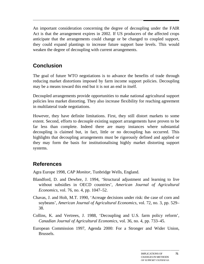An important consideration concerning the degree of decoupling under the FAIR Act is that the arrangement expires in 2002. If US producers of the affected crops anticipate that the arrangements could change or be changed to coupled support, they could expand plantings to increase future support base levels. This would weaken the degree of decoupling with current arrangements.

## **Conclusion**

The goal of future WTO negotiations is to advance the benefits of trade through reducing market distortions imposed by farm income support policies. Decoupling may be a means toward this end but it is not an end in itself.

Decoupled arrangements provide opportunities to make national agricultural support policies less market distorting. They also increase flexibility for reaching agreement in multilateral trade negotiations.

However, they have definite limitations. First, they still distort markets to some extent. Second, efforts to decouple existing support arrangements have proven to be far less than complete. Indeed there are many instances where substantial decoupling is claimed but, in fact, little or no decoupling has occurred. This highlights that decoupling arrangements must be rigorously defined and applied or they may form the basis for institutionalising highly market distorting support systems.

# **References**

Agra Europe 1998, *CAP Monitor*, Tunbridge Wells, England.

- Blandford, D. and Dewbre, J. 1994, 'Structural adjustment and learning to live without subsidies in OECD countries', *American Journal of Agricultural Economics*, vol. 76, no. 4, pp. 1047–52.
- Chavas, J. and Holt, M.T. 1990, 'Acreage decisions under risk: the case of corn and soybeans', *American Journal of Agricultural Economics*, vol. 72, no. 3, pp. 529– 38.
- Collins, K. and Vertrees, J. 1988, 'Decoupling and U.S. farm policy reform', *Canadian Journal of Agricultural Economics*, vol. 36, no. 4, pp. 733–45.
- European Commission 1997, Agenda 2000: For a Stronger and Wider Union, Brussels.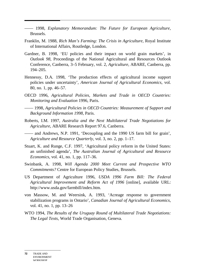—— 1998, *Explanatory Memorandum: The Future for European Agriculture*, Brussels.

- Franklin, M. 1988, *Rich Man's Farming: The Crisis in Agriculture*, Royal Institute of International Affairs, Routledge, London.
- Gardner, B. 1998, 'EU policies and their impact on world grain markets', in *Outlook 98*, Proceedings of the National Agricultural and Resources Outlook Conference, Canberra, 3–5 February, vol. 2, *Agriculture*, ABARE, Canberra, pp. 194–205.
- Hennessy, D.A. 1998, 'The production effects of agricultural income support policies under uncertainty', *American Journal of Agricultural Economics*, vol. 80, no. 1, pp. 46–57.
- OECD 1996, *Agricultural Policies, Markets and Trade in OECD Countries: Monitoring and Evaluation* 1996, Paris.
- —— 1998, *Agricultural Policies in OECD Countries: Measurement of Support and Background Information 1998*, Paris.
- Roberts, I.M. 1997, *Australia and the Next Multilateral Trade Negotiations for Agriculture*, ABARE Research Report 97.6, Canberra.
- —— and Andrews, N.P. 1991, 'Decoupling and the 1990 US farm bill for grain', *Agriculture and Resource Quarterly*, vol. 3, no. 2, pp. 1–17.
- Stuart, K. and Runge, C.F. 1997, 'Agricultural policy reform in the United States: an unfinished agenda', *The Australian Journal of Agricultural and Resource Economics*, vol. 41, no. 1, pp. 117–36.
- Swinbank, A. 1998, *Will Agenda 2000 Meet Current and Prospective WTO Commitments?* Centre for European Policy Studies, Brussels.
- US Department of Agriculture 1996, *USDA 1996 Farm Bill: The Federal Agricultural Improvement and Reform Act of 1996* [online], available URL: http://www.usda.gov/farmbill/index.htm.
- von Massow, M. and Weersink, A. 1993, 'Acreage response to government stabilization programs in Ontario', *Canadian Journal of Agricultural Economics*, vol. 41, no. 1, pp. 13–26
- WTO 1994, *The Results of the Uruguay Round of Multilateral Trade Negotiations: The Legal Texts*, World Trade Organisation, Geneva.

**<sup>72</sup>** TRADE AND ENVIRONMENT **WORKSHOP**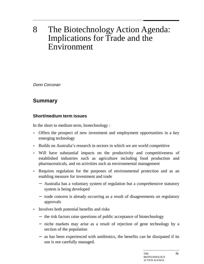# 8 The Biotechnology Action Agenda: Implications for Trade and the Environment

Donn Corcoran

### **Summary**

#### **Short/medium term issues**

In the short to medium term, biotechnology :

- Offers the prospect of new investment and employment opportunities in a key emerging technology
- Builds on Australia's research in sectors in which we are world competitive
- Will have substantial impacts on the productivity and competitiveness of established industries such as agriculture including food production and pharmaceuticals, and on activities such as environmental management
- Requires regulation for the purposes of environmental protection and as an enabling measure for investment and trade
	- − Australia has a voluntary system of regulation but a comprehensive statutory system is being developed
	- − trade concern is already occurring as a result of disagreements on regulatory approvals
- Involves both potential benefits and risks
	- − the risk factors raise questions of public acceptance of biotechnology
	- − niche markets may arise as a result of rejection of gene technology by a section of the population
	- − as has been experienced with antibiotics, the benefits can be dissipated if its use is not carefully managed.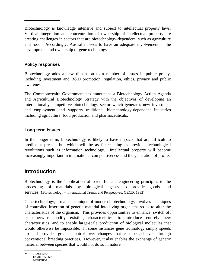Biotechnology is knowledge intensive and subject to intellectual property laws. Vertical integration and concentration of ownership of intellectual property are creating challenges in sectors that are biotechnology-dependent, such as agriculture and food. Accordingly, Australia needs to have an adequate involvement in the development and ownership of gene technology.

#### **Policy responses**

Biotechnology adds a new dimension to a number of issues in public policy, including investment and R&D promotion, regulation, ethics, privacy and public awareness.

The Commonwealth Government has announced a Biotechnology Action Agenda and Agricultural Biotechnology Strategy with the objectives of developing an internationally competitive biotechnology sector which generates new investment and employment and supports traditional biotechnology-dependent industries including agriculture, food production and pharmaceuticals.

#### **Long term issues**

In the longer term, biotechnology is likely to have impacts that are difficult to predict at present but which will be as far-reaching as previous technological revolutions such as information technology. Intellectual property will become increasingly important in international competitiveness and the generation of profits.

### **Introduction**

Biotechnology is the 'application of scientific and engineering principles to the processing of materials by biological agents to provide goods and services.'(Biotechnology -- International Trends and Perspectives, OECD, 1982)

Gene technology, a major technique of modern biotechnology, involves techniques of controlled insertion of genetic material into living organisms so as to alter the characteristics of the organism. This provides opportunities to enhance, switch off or otherwise modify existing characteristics, to introduce entirely new characteristics, and to enable large-scale production of biological molecules that would otherwise be impossible. In some instances gene technology simply speeds up and provides greater control over changes that can be achieved through conventional breeding practices. However, it also enables the exchange of genetic material between species that would not do so in nature.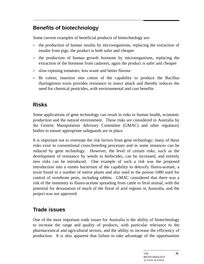# **Benefits of biotechnology**

Some current examples of beneficial products of biotechnology are:

- the production of human insulin by microorganisms, replacing the extraction of insulin from pigs; the product is both safer and cheaper
- the production of human growth hormone by microorganisms, replacing the extraction of the hormone from cadavers; again the product is safer and cheaper
- slow-ripening tomatoes; less waste and better flavour
- Bt cotton; insertion into cotton of the capability to produce the Bacillus thuringiensis toxin provides resistance to insect attack and thereby reduces the need for chemical pesticides, with environmental and cost benefits

# **Risks**

Some applications of gene technology can result in risks to human health, economic production and the natural environment. These risks are considered in Australia by the Genetic Manipulation Advisory Committee (GMAC) and other regulatory bodies to ensure appropriate safeguards are in place.

It is important not to overstate the risk factors from gene technology; many of these risks exist in conventional cross-breeding processes and in some instances can be reduced by gene technology. However, the level of certain risks, such as the development of resistance by weeds to herbicides, can be increased, and entirely new risks can be introduced. One example of such a risk was the proposed introduction into a rumen bacterium of the capability to detoxify fluoro-acetate, a toxin found in a number of native plants and also used in the poison 1080 used for control of vertebrate pests, including rabbits. GMAC considered that there was a risk of the immunity to fluoro-acetate spreading from cattle to feral animal, with the potential for devastation of much of the floral of arid regions in Australia, and the project was not approved.

### **Trade issues**

One of the most important trade issues for Australia is the ability of biotechnology to increase the range and quality of products, with particular relevance to the pharmaceutical and agricultural sectors, and the ability to increase the efficiency of production. It is also apparent that failure to take advantage of the opportunities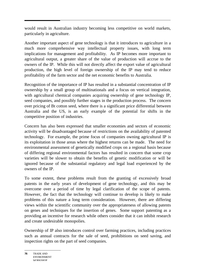would result in Australian industry becoming less competitive on world markets, particularly in agriculture.

Another important aspect of gene technology is that it introduces to agriculture in a much more comprehensive way intellectual property issues, with long term implications for management and profitability. As IP becomes more important to agricultural output, a greater share of the value of production will accrue to the owners of the IP. While this will not directly affect the export value of agricultural production, the high level of foreign ownership of the IP may tend to reduce profitability of the farm sector and the net economic benefits to Australia.

Recognition of the importance of IP has resulted in a substantial concentration of IP ownership by a small group of multinationals and a focus on vertical integration, with agricultural chemical companies acquiring ownership of gene technology IP, seed companies, and possibly further stages in the production process. The concern over pricing of Bt cotton seed, where there is a significant price differential between Australia and the US, is an early example of the potential for shifts in the competitive position of industries.

Concern has also been expressed that smaller economies and sectors of economic activity will be disadvantaged because of restrictions on the availability of patented technology. For example, the prime focus of companies owning agricultural IP is its exploitation in those areas where the highest returns can be made. The need for environmental assessment of genetically modified crops on a regional basis because of differing regional environmental factors has resulted in concern that some crop varieties will be slower to obtain the benefits of genetic modification or will be ignored because of the substantial regulatory and legal load experienced by the owners of the IP.

To some extent, these problems result from the granting of excessively broad patents in the early years of development of gene technology, and this may be overcome over a period of time by legal clarification of the scope of patents. However, the fact that the technology will continue to develop is likely to make problems of this nature a long term consideration. However, there are differing views within the scientific community over the appropriateness of allowing patents on genes and techniques for the insertion of genes. Some support patenting as a providing an incentive for research while others consider that it can inhibit research and create undesirable monopolies.

Ownership of IP also introduces control over farming practices, including practices such as annual contracts for the sale of seed, prohibitions on seed saving, and inspection rights on the part of seed companies.

**76** TRADE AND ENVIRONMENT **WORKSHOP**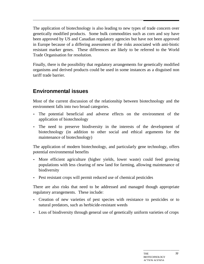The application of biotechnology is also leading to new types of trade concern over genetically modified products. Some bulk commodities such as corn and soy have been approved by US and Canadian regulatory agencies but have not been approved in Europe because of a differing assessment of the risks associated with anti-biotic resistant marker genes. These differences are likely to be referred to the World Trade Organisation for resolution.

Finally, there is the possibility that regulatory arrangements for genetically modified organisms and derived products could be used in some instances as a disguised non tariff trade barrier.

## **Environmental issues**

Most of the current discussion of the relationship between biotechnology and the environment falls into two broad categories.

- The potential beneficial and adverse effects on the environment of the application of biotechnology
- The need to preserve biodiversity in the interests of the development of biotechnology (in addition to other social and ethical arguments for the maintenance of biotechnology)

The application of modern biotechnology, and particularly gene technology, offers potential environmental benefits

- More efficient agriculture (higher yields, lower waste) could feed growing populations with less clearing of new land for farming, allowing maintenance of biodiversity
- Pest resistant crops will permit reduced use of chemical pesticides

There are also risks that need to be addressed and managed though appropriate regulatory arrangements. These include:

- Creation of new varieties of pest species with resistance to pesticides or to natural predators, such as herbicide-resistant weeds
- Loss of biodiversity through general use of genetically uniform varieties of crops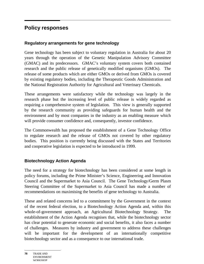### **Policy responses**

#### **Regulatory arrangements for gene technology**

Gene technology has been subject to voluntary regulation in Australia for about 20 years through the operation of the Genetic Manipulation Advisory Committee (GMAC) and its predecessors. GMAC's voluntary system covers both contained research and the public release of genetically modified organisms (GMOs). The release of some products which are either GMOs or derived from GMOs is covered by existing regulatory bodies, including the Therapeutic Goods Administration and the National Registration Authority for Agricultural and Veterinary Chemicals.

These arrangements were satisfactory while the technology was largely in the research phase but the increasing level of public release is widely regarded as requiring a comprehensive system of legislation. This view is generally supported by the research community as providing safeguards for human health and the environment and by most companies in the industry as an enabling measure which will provide consumer confidence and, consequently, investor confidence.

The Commonwealth has proposed the establishment of a Gene Technology Office to regulate research and the release of GMOs not covered by other regulatory bodies. This position is currently being discussed with the States and Territories and cooperative legislation is expected to be introduced in 1999.

#### **Biotechnology Action Agenda**

The need for a strategy for biotechnology has been considered at some length in policy forums, including the Prime Minister's Science, Engineering and Innovation Council and the Supermarket to Asia Council. The Gene Technology/Germ Plasm Steering Committee of the Supermarket to Asia Council has made a number of recommendations on maximising the benefits of gene technology to Australia.

These and related concerns led to a commitment by the Government in the context of the recent federal election, to a Biotechnology Action Agenda and, within this whole-of-government approach, an Agricultural Biotechnology Strategy. The establishment of the Action Agenda recognises that, while the biotechnology sector has clear potential to generate economic and social benefits, it also faces a number of challenges. Measures by industry and government to address these challenges will be important for the development of an internationally competitive biotechnology sector and as a consequence to our international trade.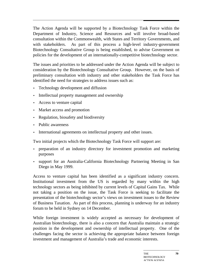The Action Agenda will be supported by a Biotechnology Task Force within the Department of Industry, Science and Resources and will involve broad-based consultation within the Commonwealth, with States and Territory Governments, and with stakeholders. As part of this process a high-level industry-government Biotechnology Consultative Group is being established, to advise Government on policies for the development of an internationally-competitive biotechnology sector.

The issues and priorities to be addressed under the Action Agenda will be subject to consideration by the Biotechnology Consultative Group. However, on the basis of preliminary consultation with industry and other stakeholders the Task Force has identified the need for strategies to address issues such as:

- Technology development and diffusion
- Intellectual property management and ownership
- Access to venture capital
- Market access and promotion
- Regulation, biosafety and biodiversity
- Public awareness
- International agreements on intellectual property and other issues.

Two initial projects which the Biotechnology Task Force will support are:

- preparation of an industry directory for investment promotion and marketing purposes
- support for an Australia-California Biotechnology Partnering Meeting in San Diego in May 1999.

Access to venture capital has been identified as a significant industry concern. Institutional investment from the US is regarded by many within the high technology sectors as being inhibited by current levels of Capital Gains Tax. While not taking a position on the issue, the Task Force is seeking to facilitate the presentation of the biotechnology sector's views on investment issues to the Review of Business Taxation. As part of this process, planning is underway for an industry forum to be held in Sydney on 14 December.

While foreign investment is widely accepted as necessary for development of Australian biotechnology, there is also a concern that Australia maintain a strategic position in the development and ownership of intellectual property. One of the challenges facing the sector is achieving the appropriate balance between foreign investment and management of Australia's trade and economic interests.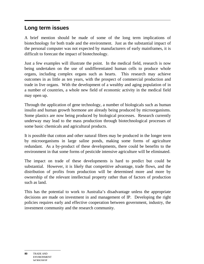### **Long term issues**

A brief mention should be made of some of the long term implications of biotechnology for both trade and the environment. Just as the substantial impact of the personal computer was not expected by manufacturers of early mainframes, it is difficult to forecast the impact of biotechnology.

Just a few examples will illustrate the point. In the medical field, research is now being undertaken on the use of undifferentiated human cells to produce whole organs, including complex organs such as hearts. This research may achieve outcomes in as little as ten years, with the prospect of commercial production and trade in live organs. With the development of a wealthy and aging population of in a number of countries, a whole new field of economic activity in the medical field may open up.

Through the application of gene technology, a number of biologicals such as human insulin and human growth hormone are already being produced by microorganisms. Some plastics are now being produced by biological processes. Research currently underway may lead to the mass production through biotechnological processes of some basic chemicals and agricultural products.

It is possible that cotton and other natural fibres may be produced in the longer term by microorganisms in large saline ponds, making some forms of agriculture redundant. As a by-product of these developments, there could be benefits to the environment in that some forms of pesticide intensive agriculture will be eliminated.

The impact on trade of these developments is hard to predict but could be substantial. However, it is likely that competitive advantage, trade flows, and the distribution of profits from production will be determined more and more by ownership of the relevant intellectual property rather than of factors of production such as land.

This has the potential to work to Australia's disadvantage unless the appropriate decisions are made on investment in and management of IP. Developing the right policies requires early and effective cooperation between government, industry, the investment community and the research community.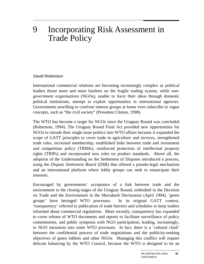# 9 Incorporating Risk Assessment in Trade Policy

#### David Robertson

International commercial relations are becoming increasingly complex as political leaders thrust more and more burdens on the fragile trading system, while *nongovernment organisations* (NGOs), unable to force their ideas through domestic political institutions, attempt to exploit opportunities in international agencies. Governments unwilling to confront interest groups at home even subscribe to vague concepts, such as "the civil society" (President Clinton, 1998).

The WTO has become a target for NGOs since the Uruguay Round was concluded (Robertson, 1994). The Uruguay Round Final Act provided new opportunities for NGOs to intrude their single issue politics into WTO affairs because it expanded the scope of GATT principles to cover trade in agriculture and services, strengthened trade rules, increased membership, established links between trade and investment and competition policy (TRIMs), reinforced protection of intellectual property rights (TRIPs) and incorporated new rules on product standards. Above all, the adoption of the Understanding on the Settlement of Disputes introduced a process, using the *Dispute Settlement Board* (DSB) that offered a pseudo-legal mechanism and an international platform where lobby groups can seek to emancipate their interests.

Encouraged by governments' acceptance of a link between trade and the environment in the closing stages of the Uruguay Round, embodied in the Decision on Trade and the Environment in the Marrakesh Declaration (April 1994), 'green groups' have besieged WTO processes. In its original GATT context, 'transparency' referred to publication of trade barriers and schedules to keep traders informed about commercial regulations. More recently, transparency has expanded to cover release of WTO documents and reports to facilitate surveillance of policy commitments, and public symposia with NGO participation, leading, increasingly, to NGO intrusions into some WTO processes. In fact, there is a 'cultural clash' between the confidential process of trade negotiations and the publicity-seeking objectives of green lobbies and other NGOs. Managing this conflict will require delicate balancing by the WTO Council, because the WTO is designed to be an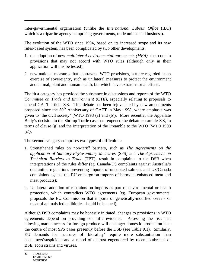inter-governmental organisation (unlike the *International Labour Office* (ILO) which is a tripartite agency comprising governments, trade unions and business).

The evolution of the WTO since 1994, based on its increased scope and its new rules-based system, has been complicated by two other developments:

- 1. the adoption of new *multilateral environmental agreements (MEA)* that contain provisions that may not accord with WTO rules (although only in their application will this be tested);
- 2. new national measures that contravene WTO provisions, but are regarded as an exercise of sovereignty, such as unilateral measures to protect the environment and animal, plant and human health, but which have extraterritorial effects.

The first category has provided the substance in discussions and reports of the WTO *Committee on Trade and Environment* (CTE), especially relating to proposals to amend GATT article XX. This debate has been rejuvenated by new amendments proposed since the 50<sup>th</sup> Anniversary of GATT in May 1998, where emphasis was given to 'the civil society' (WTO 1998 (a) and (b)). More recently, the Appellate Body's decision in the Shrimp-Turtle case has reopened the debate on article XX, in terms of clause (g) and the interpretation of the Preamble to the WTO (WTO 1998 (c)).

The second category comprises two types of difficulties:

- 1. Strengthened rules on non-tariff barriers, such as *The Agreements on the application of Sanitary-Phytosanitary Measures* (SPS) and *The Agreement on Technical Barriers to Trade* (TBT), result in complaints to the DSB when interpretations of the rules differ (eg, Canada/US complaints against Australia's quarantine regulations preventing imports of uncooked salmon, and US/Canada complaints against the EU embargo on imports of hormone-enhanced meat and meat products);
- 2. Unilateral adoption of restraints on imports as part of environmental or health protection, which contradicts WTO agreements (eg. European governments' proposals the EU Commission that imports of genetically-modified cereals or meat of animals fed antibiotics should be banned).

Although DSB complaints may be honestly initiated, changes to provisions in WTO agreements depend on providing scientific evidence. Assessing the risk that allowing market access for foreign produce will endanger domestic production is at the centre of most SPS cases presently before the DSB (see Table 9.1). Similarly, EU demands for measures of 'biosafety' require more substantiation than consumers'suspicions and a mood of distrust engendered by recent outbreaks of BSE, ecoli strains and viruses.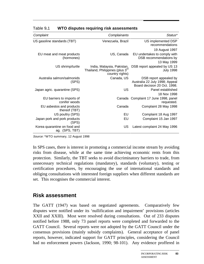| Status*                                                                                  | Complainants                                                                                 | Complaint                                      |
|------------------------------------------------------------------------------------------|----------------------------------------------------------------------------------------------|------------------------------------------------|
| US implemented DSP<br>recommendations                                                    | Venezuela, Brazil                                                                            | US gasoline standards (TBT)                    |
| 19 August 1997                                                                           |                                                                                              |                                                |
| EU undertakes to comply with<br>DSB recommendations by<br>13 May 1999                    | US, Canada                                                                                   | EU meat and meat products<br>(hormones)        |
| DSB report appealed by US 13<br><b>July 1998</b>                                         | India, Malaysia, Pakistan,<br>Thailand, Philippines (plus 3 <sup>rd</sup><br>country rights) | US shrimp/turtle                               |
| DSB report appealed by<br>Australia 22 July 1998; Appeal<br>Board decision 20 Oct. 1998. | Canada, US                                                                                   | Australia salmon/salmonids<br>(SPS)            |
| Panel established<br>18 Nov 1998                                                         | US                                                                                           | Japan agric. quarantine (SPS)                  |
| Canada Complaint 17 June 1998, panel<br>requested.                                       |                                                                                              | EU barriers to imports of<br>conifer woods     |
| Complaint 28 May 1998                                                                    | Canada                                                                                       | EU asbestos and products<br>thereof (TBT)      |
| Complaint 18 Aug 1997                                                                    | EU                                                                                           | US poultry (SPS)                               |
| Complaint 15 Jan 1997                                                                    | EU                                                                                           | Japan pork and pork products<br>(SPS)          |
| Latest complaint 24 May 1996                                                             | <b>US</b>                                                                                    | Korea quarantine on food and<br>ag. (SPS, TBT) |

Table 9**.**1 **WTO disputes requiring risk assessments**

Source: \*WTO summary, 12 August 1998

In SPS cases, there is interest in promoting a commercial income stream by avoiding risks from disease, while at the same time achieving economic rents from this protection. Similarly, the TBT seeks to avoid discriminatory barriers to trade, from unnecessary technical regulations (mandatory), standards (voluntary), testing or certification procedures, by encouraging the use of international standards and obliging consultations with interested foreign suppliers when different standards are set. This recognises the commercial interest.

#### **Risk assessment**

The GATT (1947) was based on negotiated agreements. Comparatively few disputes were notified under its 'nullification and impairment' provisions (articles XXII and XXIII). Most were resolved during consultations. Out of 233 disputes notified before 1988, only 73 panel reports were completed and forwarded to the GATT Council. Several reports were not adopted by the GATT Council under the consensus provisions (mainly subsidy complaints). General acceptance of panel reports, however, indicated support for GATT principles, considering the Council had no enforcement powers (Jackson, 1990; 98-101). Any evidence proffered in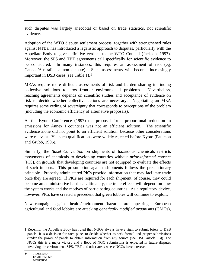such disputes was largely anecdotal or based on trade statistics, not scientific evidence.

Adoption of the WTO dispute settlement process, together with strengthened rules against NTBs, has introduced a legalistic approach to disputes, particularly with the Appellate Body to give definitive verdicts to the WTO Council (Jackson, 1997). Moreover, the SPS and TBT agreements call specifically for scientific evidence to be considered. In many instances, this requires an assessment of risk (eg. Canada/Australia salmon dispute). Such assessments will become increasingly important in DSB cases (see Table 1).<sup>1</sup>

MEAs require more difficult assessments of risk and burden sharing in finding collective solutions to cross-frontier environmental problems. Nevertheless, reaching agreements depends on scientific studies and acceptance of evidence on risk to decide whether collective actions are necessary. Negotiating an MEA requires some ceding of sovereignty that corresponds to perceptions of the problem (including the economic efficiency of alternative proposals).

At the Kyoto Conference (1997) the proposal for a proportional reduction in emissions for Annex I countries was not an efficient solution. The scientific evidence alone did not point to an efficient solution, because other considerations were relevant. Yet such qualifications were widely rejected before Kyoto (Paterson and Grubb, 1996).

Similarly, the *Basel Convention* on shipments of hazardous chemicals restricts movements of chemicals to developing countries without *prior-informed consent* (PIC), on grounds that developing countries are not equipped to evaluate the effects of such imports. This presumption against shipments follows the precautionary principle. Properly administered PICs provide information that may facilitate trade once they are agreed. If PICs are required for each shipment, of course, they could become an administrative barrier. Ultimately, the trade effects will depend on how the system works and the motives of participating countries. As a regulatory device, however, PICs have created a precedent that green lobbies will continue to exploit.

New campaigns against health/environment 'hazards' are appearing. European agricultural and food lobbies are attacking *genetically modified organisms* (GMOs),

 $\overline{a}$ 

<sup>1</sup> Recently, the Appellate Body has ruled that NGOs always have a right to submit briefs to DSB panels. It is a decision for each panel to decide whether to seek formal and proper submissions (under the power of panels to obtain information from any source (see DSU article 13)). For NGOs this is a major victory and a flood of NGO submissions is expected in future disputes involving the environment, SPS, TBT and other areas where NGOs have interests.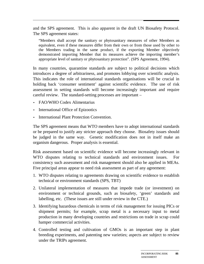and the SPS agreement. This is also apparent in the draft UN Biosafety Protocol. The SPS agreement states:

"Members shall accept the sanitary or phytosanitary measures of other Members as equivalent, even if these measures differ from their own or from those used by other to the Members trading in the same product, if the exporting Member objectively demonstrated importing Member that its measures achieve the importing member's appropriate level of sanitary or phytosanitary protection". (SPS Agreement, 1994).

In many countries, quarantine standards are subject to political decisions which introduces a degree of arbitrariness, and promotes lobbying over scientific analysis. This indicates the role of international standards organisations will be crucial in holding back 'consumer sentiment' against scientific evidence. The use of risk assessment in setting standards will become increasingly important and require careful review. The standard-setting processes are important –

- FAO/WHO Codex Alimentarius
- International Office of Epizootics
- International Plant Protection Convention.

The SPS agreement means that WTO members have to adopt international standards or be prepared to justify any stricter approach they choose. Biosafety issues should be judged in the same way. Genetic modification does not in itself make an organism dangerous. Proper analysis is essential.

Risk assessment based on scientific evidence will become increasingly relevant in WTO disputes relating to technical standards and environment issues. For consistency such assessment and risk management should also be applied in MEAs. Five principal areas appear to need risk assessment as part of any agreement:

- 1. WTO disputes relating to agreements drawing on scientific evidence to establish technical or environment standards (SPS, TBT)
- 2. Unilateral implementation of measures that impede trade (or investment) on environment or technical grounds, such as biosafety, 'green' standards and labelling, etc. (These issues are still under review in the CTE.)
- 3. Identifying hazardous chemicals in terms of risk management for issuing PICs or shipment permits; for example, scrap metal is a necessary input to metal production in many developing countries and restrictions on trade in scrap could hamper commercial activities.
- 4. Controlled testing and cultivation of GMOs is an important step in plant breeding experiments, and patenting new varieties; aspects are subject to review under the TRIPs agreement.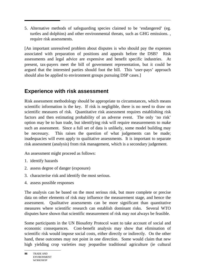5. Alternative methods of safeguarding species claimed to be 'endangered' (eg. turtles and dolphins) and other environmental threats, such as GHG emissions. , require risk assessments.

[An important unresolved problem about disputes is who should pay the expenses associated with preparation of positions and appeals before the DSB? Risk assessments and legal advice are expensive and benefit specific industries. At present, tax-payers meet the bill of government representation, but it could be argued that the interested parties should foot the bill. This 'user-pays' approach should also be applied to environment groups pursuing DSP cases.]

### **Experience with risk assessment**

Risk assessment methodology should be appropriate to circumstances, which means scientific information is the key. If risk is negligible, there is no need to draw on scientific measures of risk. Quantitative risk assessment requires establishing risk factors and then estimating probability of an adverse event. The only 'no risk' option may be to ban trade, but identifying risk will require measurements to make such an assessment. Since a full set of data is unlikely, some model building may be necessary. This raises the question of what judgements can be made; inadequacies will even apply to qualitative assessments. It is important to separate risk assessment (analysis) from risk management, which is a secondary judgement.

An assessment might proceed as follows:

- 1. identify hazards
- 2. assess degree of danger (exposure)
- 3. characterise risk and identify the most serious.
- 4. assess possible responses

The analysis can be based on the most serious risk, but more complete or precise data on other elements of risk may influence the measurement stage, and hence the assessment. Qualitative assessments can be more significant than quantitative measures where scientific research can establish dominant risks. Several WTO disputes have shown that scientific measurement of risk may not always be feasible.

Some participants in the UN Biosafety Protocol want to take account of social and economic consequences. Cost-benefit analysis may show that elimination of scientific risk would impose social costs, either directly or indirectly. On the other hand, these outcomes may not point in one direction. Some would claim that new high yielding crop varieties may jeopardise traditional agriculture (ie cultural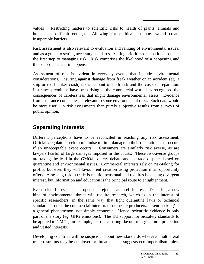values). Restricting matters to scientific risks to health of plants, animals and humans is difficult enough. Allowing for political economy would create insuperable barriers.

Risk assessment is also relevant to evaluation and ranking of environmental issues, and as a guide to setting necessary standards. Setting priorities on a national basis is the first step to managing risk. Risk comprises the likelihood of a happening and the consequences if it happens.

Assessment of risk is evident in everyday events that include environmental considerations. Insuring against damage from freak weather or an accident (eg. a ship or road tanker crash) takes account of both risk and the costs of reparation. Insurance premiums have been rising as the commercial world has recognised the consequences of carelessness that might damage environmental assets. Evidence from insurance companies is relevant to some environmental risks. Such data would be more useful in risk assessments than purely subjective results from surveys of public opinion.

## **Separating interests**

Different perceptions have to be reconciled in reaching any risk assessment. Officials/regulators seek to minimise to limit damage to their reputations that occurs if an unacceptable event occurs. Consumers are similarly risk averse, as are lawyers fearful of large damages imposed in the courts. These risk-averse groups are taking the lead in the GMO/biosafety debate and in trade disputes based on quarantine and environmental issues. Commercial interests rely on risk-taking for profits, but even they will favour rent creation using protection if an opportunity offers. Assessing risk in trade is multidimensional and requires balancing divergent interest, but information and education is the principal route to enlightenment.

Even scientific evidence is open to prejudice and self-interest. Declaring a new kind of environmental threat will require research, which is in the interest of specific researchers, in the same way that tight quarantine laws or technical standards protect the commercial interests of domestic producers. 'Rent-seeking' is a general phenomenon, not simply economic. Hence, scientific evidence is only part of the story (eg. GHG emissions). The EU support for biosafety standards to be applied to GMOs, for example, carries a strong flavour of agricultural protection and vested interests.

Developing countries will be suspicious about new standards wherever multilateral trade restraints may be employed or threatened. It suggests eco-imperialism unless